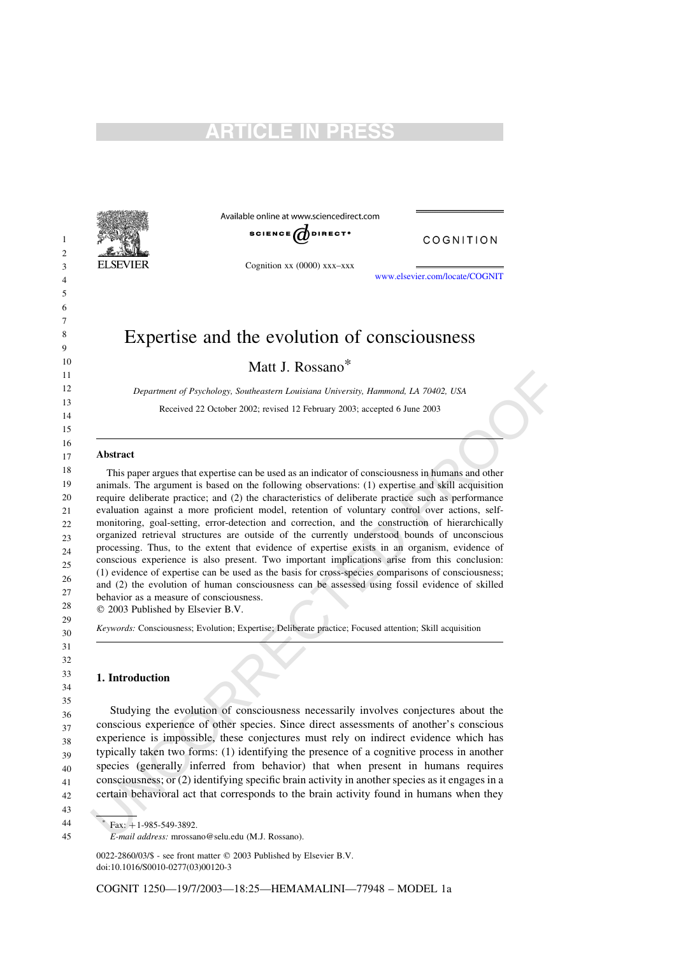# CLE IN



Available online at www.sciencedirect.com SCIENCE  $\omega$  direct

COGNITION

Cognition xx (0000) xxx–xxx

[www.elsevier.com/locate/COGNIT](http://www.elsevier.com/locate/COGNIT)

# Expertise and the evolution of consciousness

Matt J. Rossano\*

Department of Psychology, Southeastern Louisiana University, Hammond, LA 70402, USA

Received 22 October 2002; revised 12 February 2003; accepted 6 June 2003

### Abstract

Deparateur of Psychology. Southcaster Louisiana Disheration Line (1.40402, USA<br>Received 22 October 2002; revised 12 February 2003; accepted 6 June 2003<br>
Received 22 October 2002; revised 12 February 2003; accepted 6 June This paper argues that expertise can be used as an indicator of consciousness in humans and other animals. The argument is based on the following observations: (1) expertise and skill acquisition require deliberate practice; and (2) the characteristics of deliberate practice such as performance evaluation against a more proficient model, retention of voluntary control over actions, selfmonitoring, goal-setting, error-detection and correction, and the construction of hierarchically organized retrieval structures are outside of the currently understood bounds of unconscious processing. Thus, to the extent that evidence of expertise exists in an organism, evidence of conscious experience is also present. Two important implications arise from this conclusion: (1) evidence of expertise can be used as the basis for cross-species comparisons of consciousness; and (2) the evolution of human consciousness can be assessed using fossil evidence of skilled behavior as a measure of consciousness.

 $©$  2003 Published by Elsevier B.V.

Keywords: Consciousness; Evolution; Expertise; Deliberate practice; Focused attention; Skill acquisition

### 1. Introduction

Studying the evolution of consciousness necessarily involves conjectures about the conscious experience of other species. Since direct assessments of another's conscious experience is impossible, these conjectures must rely on indirect evidence which has typically taken two forms: (1) identifying the presence of a cognitive process in another species (generally inferred from behavior) that when present in humans requires consciousness; or (2) identifying specific brain activity in another species as it engages in a certain behavioral act that corresponds to the brain activity found in humans when they

 $\text{Fax:} + 1-985-549-3892.$ 

E-mail address: mrossano@selu.edu (M.J. Rossano).

0022-2860/03/\$ - see front matter © 2003 Published by Elsevier B.V. doi:10.1016/S0010-0277(03)00120-3

COGNIT 1250—19/7/2003—18:25—HEMAMALINI—77948 – MODEL 1a

1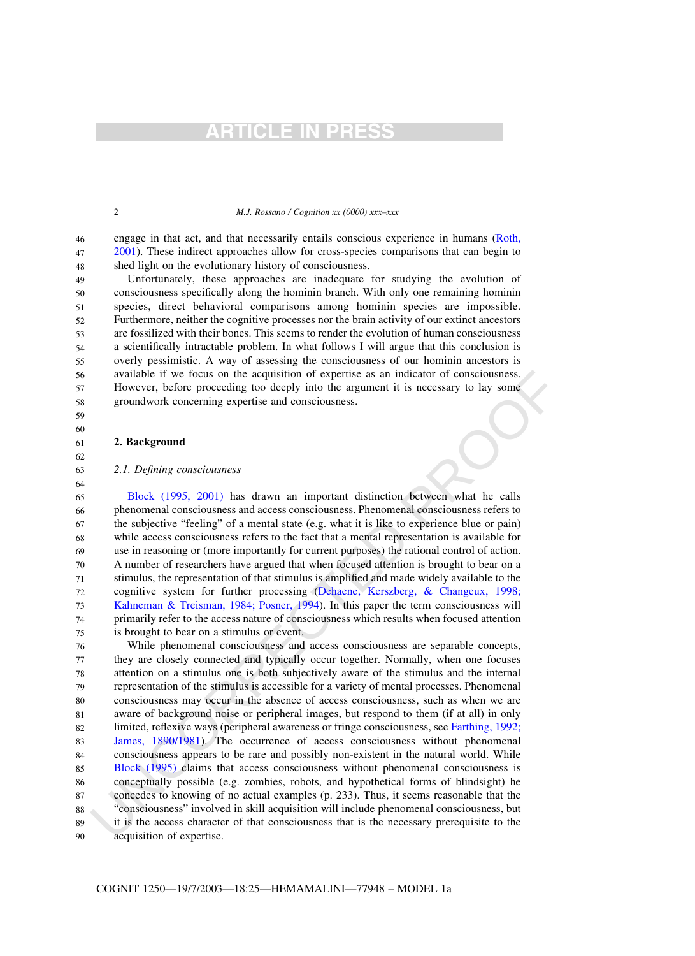# TICI F IN P

### 2 M.J. Rossano / Cognition xx (0000) xxx–xxx

engage in that act, and that necessarily entails conscious experience in humans [\(Roth,](#page-29-0) [2001](#page-29-0)). These indirect approaches allow for cross-species comparisons that can begin to shed light on the evolutionary history of consciousness. 46 47 48

Unfortunately, these approaches are inadequate for studying the evolution of consciousness specifically along the hominin branch. With only one remaining hominin species, direct behavioral comparisons among hominin species are impossible. Furthermore, neither the cognitive processes nor the brain activity of our extinct ancestors are fossilized with their bones. This seems to render the evolution of human consciousness a scientifically intractable problem. In what follows I will argue that this conclusion is overly pessimistic. A way of assessing the consciousness of our hominin ancestors is available if we focus on the acquisition of expertise as an indicator of consciousness. However, before proceeding too deeply into the argument it is necessary to lay some groundwork concerning expertise and consciousness. 49 50 51 52 53 54 55 56 57 58

### 2. Background

### 2.1. Defining consciousness

Block (1995, 2001) has drawn an important distinction between what he calls phenomenal consciousness and access consciousness. Phenomenal consciousness refers to the subjective "feeling" of a mental state (e.g. what it is like to experience blue or pain) while access consciousness refers to the fact that a mental representation is available for use in reasoning or (more importantly for current purposes) the rational control of action. A number of researchers have argued that when focused attention is brought to bear on a stimulus, the representation of that stimulus is amplified and made widely available to the cognitive system for further processing (Dehaene, Kerszberg, & Changeux, 1998; Kahneman & Treisman, 1984; Posner, 1994). In this paper the term consciousness will primarily refer to the access nature of consciousness which results when focused attention is brought to bear on a stimulus or event. 65 66 67 68 69 70 71 72 73 74 75

available if we focus on the aquisition of expertine as an indicator of consciousness.<br>
However, before proceeding too deeply into the argument it is necessary to lay some<br>
groundwork concerning expertise and consciousness While phenomenal consciousness and access consciousness are separable concepts, they are closely connected and typically occur together. Normally, when one focuses attention on a stimulus one is both subjectively aware of the stimulus and the internal representation of the stimulus is accessible for a variety of mental processes. Phenomenal consciousness may occur in the absence of access consciousness, such as when we are aware of background noise or peripheral images, but respond to them (if at all) in only limited, reflexive ways (peripheral awareness or fringe consciousness, see Farthing, 1992; James, 1890/1981). The occurrence of access consciousness without phenomenal consciousness appears to be rare and possibly non-existent in the natural world. While Block (1995) claims that access consciousness without phenomenal consciousness is conceptually possible (e.g. zombies, robots, and hypothetical forms of blindsight) he concedes to knowing of no actual examples (p. 233). Thus, it seems reasonable that the "consciousness" involved in skill acquisition will include phenomenal consciousness, but it is the access character of that consciousness that is the necessary prerequisite to the acquisition of expertise. 76 77 78 79 80 81 82 83 84 85 86 87 88 89 90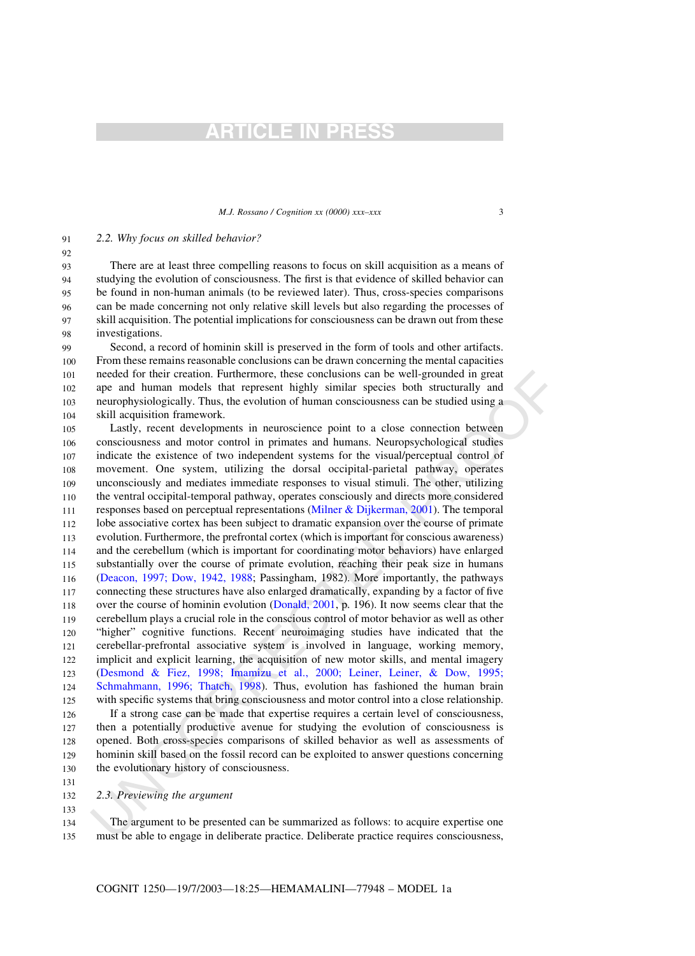#### M.J. Rossano / Cognition xx (0000) xxx–xxx 3

### 2.2. Why focus on skilled behavior?

91 92

There are at least three compelling reasons to focus on skill acquisition as a means of studying the evolution of consciousness. The first is that evidence of skilled behavior can be found in non-human animals (to be reviewed later). Thus, cross-species comparisons can be made concerning not only relative skill levels but also regarding the processes of skill acquisition. The potential implications for consciousness can be drawn out from these investigations. 93 94 95 96 97 98

Second, a record of hominin skill is preserved in the form of tools and other artifacts. From these remains reasonable conclusions can be drawn concerning the mental capacities needed for their creation. Furthermore, these conclusions can be well-grounded in great ape and human models that represent highly similar species both structurally and neurophysiologically. Thus, the evolution of human consciousness can be studied using a skill acquisition framework. 99 100 101 102 103 104

needed for their creation. Furthermore, these conclusions can be well-grounded in great<br>paralog and human models that represent highly similar species both structurally and<br>age and human models that represent highly simil Lastly, recent developments in neuroscience point to a close connection between consciousness and motor control in primates and humans. Neuropsychological studies indicate the existence of two independent systems for the visual/perceptual control of movement. One system, utilizing the dorsal occipital-parietal pathway, operates unconsciously and mediates immediate responses to visual stimuli. The other, utilizing the ventral occipital-temporal pathway, operates consciously and directs more considered responses based on perceptual representations (Milner & Dijkerman, 2001). The temporal lobe associative cortex has been subject to dramatic expansion over the course of primate evolution. Furthermore, the prefrontal cortex (which is important for conscious awareness) and the cerebellum (which is important for coordinating motor behaviors) have enlarged substantially over the course of primate evolution, reaching their peak size in humans (Deacon, 1997; Dow, 1942, 1988; Passingham, 1982). More importantly, the pathways connecting these structures have also enlarged dramatically, expanding by a factor of five over the course of hominin evolution (Donald, 2001, p. 196). It now seems clear that the cerebellum plays a crucial role in the conscious control of motor behavior as well as other "higher" cognitive functions. Recent neuroimaging studies have indicated that the cerebellar-prefrontal associative system is involved in language, working memory, implicit and explicit learning, the acquisition of new motor skills, and mental imagery (Desmond & Fiez, 1998; Imamizu et al., 2000; Leiner, Leiner, & Dow, 1995; Schmahmann, 1996; Thatch, 1998). Thus, evolution has fashioned the human brain with specific systems that bring consciousness and motor control into a close relationship. If a strong case can be made that expertise requires a certain level of consciousness, then a potentially productive avenue for studying the evolution of consciousness is opened. Both cross-species comparisons of skilled behavior as well as assessments of hominin skill based on the fossil record can be exploited to answer questions concerning the evolutionary history of consciousness. 105 106 107 108 109 110 111 112 113 114 115 116 117 118 119 120 121 122  $123$ 124 125 126 127 128 129 130

131 132

2.3. Previewing the argument

133

The argument to be presented can be summarized as follows: to acquire expertise one must be able to engage in deliberate practice. Deliberate practice requires consciousness, 134 135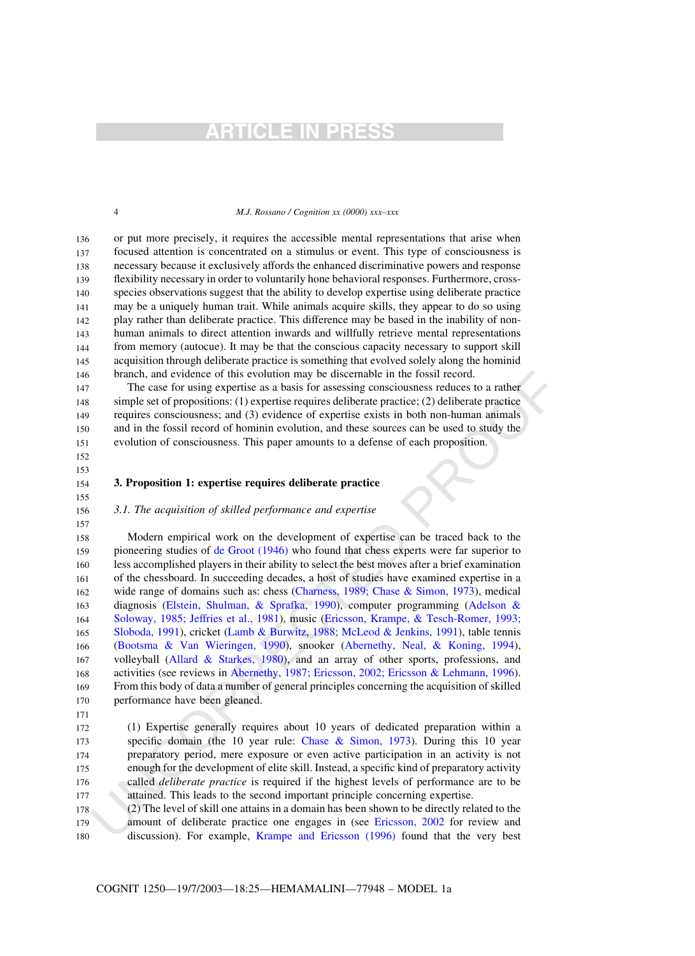# TICLE IN

#### 4 M.J. Rossano / Cognition xx (0000) xxx–xxx

or put more precisely, it requires the accessible mental representations that arise when focused attention is concentrated on a stimulus or event. This type of consciousness is necessary because it exclusively affords the enhanced discriminative powers and response flexibility necessary in order to voluntarily hone behavioral responses. Furthermore, crossspecies observations suggest that the ability to develop expertise using deliberate practice may be a uniquely human trait. While animals acquire skills, they appear to do so using play rather than deliberate practice. This difference may be based in the inability of nonhuman animals to direct attention inwards and willfully retrieve mental representations from memory (autocue). It may be that the conscious capacity necessary to support skill acquisition through deliberate practice is something that evolved solely along the hominid branch, and evidence of this evolution may be discernable in the fossil record. 136 137 138 139 140 141 142 143 144 145 146

The case for using expertise as a basis for assessing consciousness reduces to a rather simple set of propositions: (1) expertise requires deliberate practice; (2) deliberate practice requires consciousness; and (3) evidence of expertise exists in both non-human animals and in the fossil record of hominin evolution, and these sources can be used to study the evolution of consciousness. This paper amounts to a defense of each proposition. 147 148 149 150 151

152 153 154

155 156 157

### 3. Proposition 1: expertise requires deliberate practice

### 3.1. The acquisition of skilled performance and expertise

branch, and evidence of this evolution may be diocernable in the fossil record.<br>The case for using expertise as a basis for assessing consciousness reduces to a rather<br>simple set of propositions; (1) operating requires de Modern empirical work on the development of expertise can be traced back to the pioneering studies of de Groot (1946) who found that chess experts were far superior to less accomplished players in their ability to select the best moves after a brief examination of the chessboard. In succeeding decades, a host of studies have examined expertise in a wide range of domains such as: chess (Charness, 1989; Chase & Simon, 1973), medical diagnosis (Elstein, Shulman, & Sprafka, 1990), computer programming (Adelson & Soloway, 1985; Jeffries et al., 1981), music (Ericsson, Krampe, & Tesch-Romer, 1993; Sloboda, 1991), cricket (Lamb & Burwitz, 1988; McLeod & Jenkins, 1991), table tennis (Bootsma & Van Wieringen, 1990), snooker (Abernethy, Neal, & Koning, 1994), volleyball (Allard & Starkes, 1980), and an array of other sports, professions, and activities (see reviews in Abernethy, 1987; Ericsson, 2002; Ericsson & Lehmann, 1996). From this body of data a number of general principles concerning the acquisition of skilled performance have been gleaned. 158 159 160 161 162 163 164 165 166 167 168 169 170

- 171
- (1) Expertise generally requires about 10 years of dedicated preparation within a specific domain (the 10 year rule: Chase  $\&$  Simon, 1973). During this 10 year preparatory period, mere exposure or even active participation in an activity is not enough for the development of elite skill. Instead, a specific kind of preparatory activity called deliberate practice is required if the highest levels of performance are to be attained. This leads to the second important principle concerning expertise. 172 173 174 175 176 177

(2) The level of skill one attains in a domain has been shown to be directly related to the amount of deliberate practice one engages in (see Ericsson, 2002 for review and discussion). For example, [Krampe and Ericsson \(1996\)](#page-27-0) found that the very best 178 179 180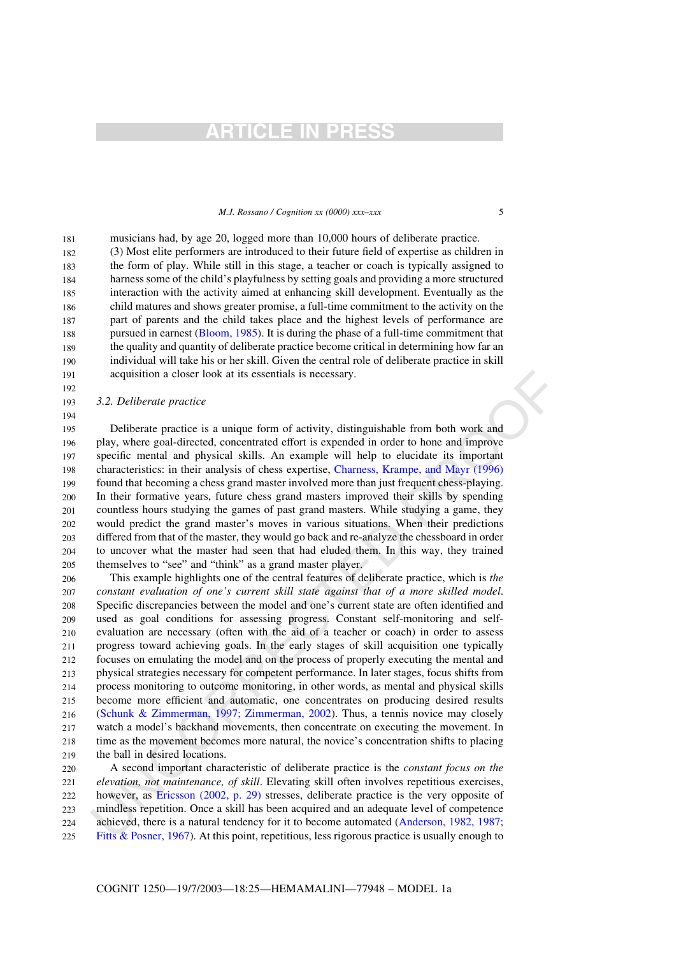#### M.J. Rossano / Cognition xx (0000) xxx–xxx 5

musicians had, by age 20, logged more than 10,000 hours of deliberate practice. (3) Most elite performers are introduced to their future field of expertise as children in the form of play. While still in this stage, a teacher or coach is typically assigned to harness some of the child's playfulness by setting goals and providing a more structured interaction with the activity aimed at enhancing skill development. Eventually as the child matures and shows greater promise, a full-time commitment to the activity on the part of parents and the child takes place and the highest levels of performance are pursued in earnest [\(Bloom, 1985](#page-24-0)). It is during the phase of a full-time commitment that the quality and quantity of deliberate practice become critical in determining how far an individual will take his or her skill. Given the central role of deliberate practice in skill acquisition a closer look at its essentials is necessary. 181 182 183 184 185 186 187 188 189 190 191

### 3.2. Deliberate practice

192 193 194

Deliberate practice is a unique form of activity, distinguishable from both work and play, where goal-directed, concentrated effort is expended in order to hone and improve specific mental and physical skills. An example will help to elucidate its important characteristics: in their analysis of chess expertise, Charness, Krampe, and Mayr (1996) found that becoming a chess grand master involved more than just frequent chess-playing. In their formative years, future chess grand masters improved their skills by spending countless hours studying the games of past grand masters. While studying a game, they would predict the grand master's moves in various situations. When their predictions differed from that of the master, they would go back and re-analyze the chessboard in order to uncover what the master had seen that had eluded them. In this way, they trained themselves to "see" and "think" as a grand master player. 195 196 197 198 199 200 201 202 203 204 205

acquisition a closer look at its essentials is necessary.<br>
3.2. Deliberate practice<br>
Deliberate practice is a unique form of activity, distinguishable from both work and<br>
play, where goal-directed, concentrated effort is This example highlights one of the central features of deliberate practice, which is the constant evaluation of one's current skill state against that of a more skilled model. Specific discrepancies between the model and one's current state are often identified and used as goal conditions for assessing progress. Constant self-monitoring and selfevaluation are necessary (often with the aid of a teacher or coach) in order to assess progress toward achieving goals. In the early stages of skill acquisition one typically focuses on emulating the model and on the process of properly executing the mental and physical strategies necessary for competent performance. In later stages, focus shifts from process monitoring to outcome monitoring, in other words, as mental and physical skills become more efficient and automatic, one concentrates on producing desired results (Schunk & Zimmerman, 1997; Zimmerman, 2002). Thus, a tennis novice may closely watch a model's backhand movements, then concentrate on executing the movement. In time as the movement becomes more natural, the novice's concentration shifts to placing the ball in desired locations. 206 207 208 209 210 211 212 213 214 215 216 217 218 219

A second important characteristic of deliberate practice is the constant focus on the elevation, not maintenance, of skill. Elevating skill often involves repetitious exercises, however, as Ericsson (2002, p. 29) stresses, deliberate practice is the very opposite of mindless repetition. Once a skill has been acquired and an adequate level of competence achieved, there is a natural tendency for it to become automated (Anderson, 1982, 1987; [Fitts & Posner, 1967](#page-24-0)). At this point, repetitious, less rigorous practice is usually enough to  $220$ 221 222 223 224 225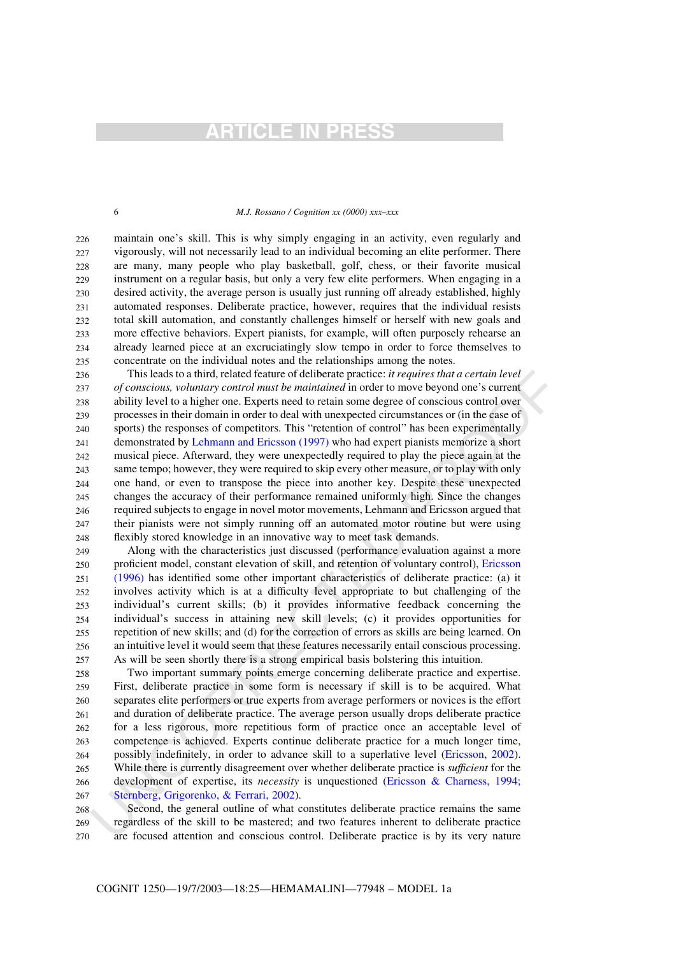#### 6 M.J. Rossano / Cognition xx (0000) xxx–xxx

maintain one's skill. This is why simply engaging in an activity, even regularly and vigorously, will not necessarily lead to an individual becoming an elite performer. There are many, many people who play basketball, golf, chess, or their favorite musical instrument on a regular basis, but only a very few elite performers. When engaging in a desired activity, the average person is usually just running off already established, highly automated responses. Deliberate practice, however, requires that the individual resists total skill automation, and constantly challenges himself or herself with new goals and more effective behaviors. Expert pianists, for example, will often purposely rehearse an already learned piece at an excruciatingly slow tempo in order to force themselves to concentrate on the individual notes and the relationships among the notes. 226  $227$ 228 229 230 231 232 233 234 235

This leads to a third, related feature of deliberate practice: it requires that a certim level.<br>To discuss, voluntary control must be maintained in order to move beyond one's current<br>ability level to a higher one. Experts This leads to a third, related feature of deliberate practice: *it requires that a certain level* of conscious, voluntary control must be maintained in order to move beyond one's current ability level to a higher one. Experts need to retain some degree of conscious control over processes in their domain in order to deal with unexpected circumstances or (in the case of sports) the responses of competitors. This "retention of control" has been experimentally demonstrated by Lehmann and Ericsson (1997) who had expert pianists memorize a short musical piece. Afterward, they were unexpectedly required to play the piece again at the same tempo; however, they were required to skip every other measure, or to play with only one hand, or even to transpose the piece into another key. Despite these unexpected changes the accuracy of their performance remained uniformly high. Since the changes required subjects to engage in novel motor movements, Lehmann and Ericsson argued that their pianists were not simply running off an automated motor routine but were using flexibly stored knowledge in an innovative way to meet task demands. 236 237  $238$ 239 240 241  $242$  $243$ 244 245 246 247 248

Along with the characteristics just discussed (performance evaluation against a more proficient model, constant elevation of skill, and retention of voluntary control), Ericsson (1996) has identified some other important characteristics of deliberate practice: (a) it involves activity which is at a difficulty level appropriate to but challenging of the individual's current skills; (b) it provides informative feedback concerning the individual's success in attaining new skill levels; (c) it provides opportunities for repetition of new skills; and (d) for the correction of errors as skills are being learned. On an intuitive level it would seem that these features necessarily entail conscious processing. As will be seen shortly there is a strong empirical basis bolstering this intuition. 249 250 251 252 253 254  $255$ 256  $257$ 

Two important summary points emerge concerning deliberate practice and expertise. First, deliberate practice in some form is necessary if skill is to be acquired. What separates elite performers or true experts from average performers or novices is the effort and duration of deliberate practice. The average person usually drops deliberate practice for a less rigorous, more repetitious form of practice once an acceptable level of competence is achieved. Experts continue deliberate practice for a much longer time, possibly indefinitely, in order to advance skill to a superlative level (Ericsson, 2002). While there is currently disagreement over whether deliberate practice is *sufficient* for the development of expertise, its *necessity* is unquestioned (Ericsson & Charness, 1994; Sternberg, Grigorenko, & Ferrari, 2002). 258 259 260 261 262 263 264 265 266 267

Second, the general outline of what constitutes deliberate practice remains the same regardless of the skill to be mastered; and two features inherent to deliberate practice are focused attention and conscious control. Deliberate practice is by its very nature 268 269 270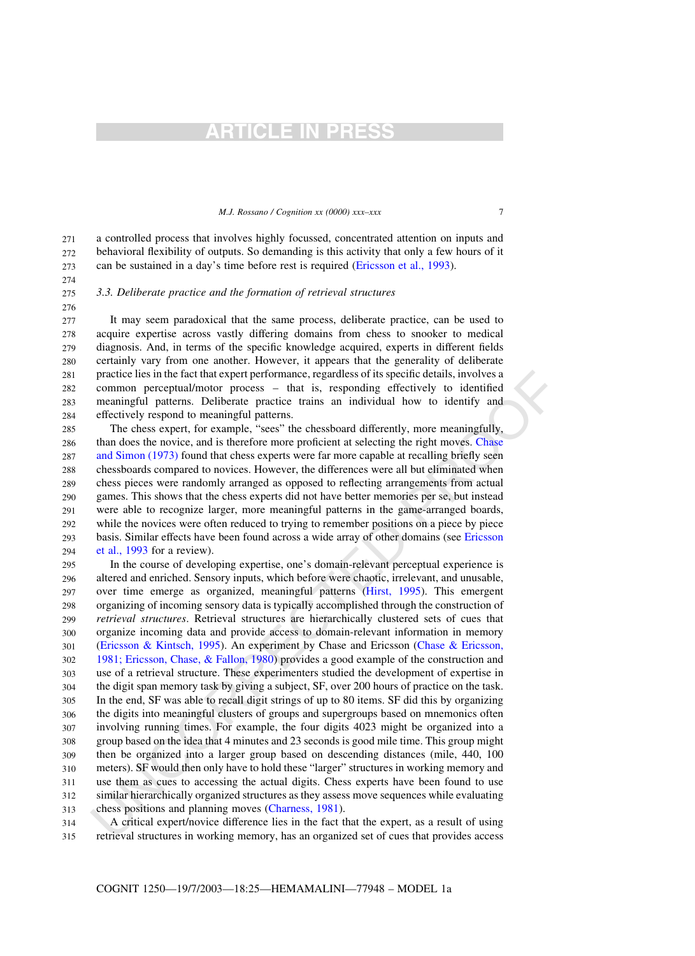### M.J. Rossano / Cognition xx (0000) xxx–xxx 7

a controlled process that involves highly focussed, concentrated attention on inputs and behavioral flexibility of outputs. So demanding is this activity that only a few hours of it can be sustained in a day's time before rest is required ([Ericsson et al., 1993\)](#page-26-0). 271 272 273

274 275

276

### 3.3. Deliberate practice and the formation of retrieval structures

It may seem paradoxical that the same process, deliberate practice, can be used to acquire expertise across vastly differing domains from chess to snooker to medical diagnosis. And, in terms of the specific knowledge acquired, experts in different fields certainly vary from one another. However, it appears that the generality of deliberate practice lies in the fact that expert performance, regardless of its specific details, involves a common perceptual/motor process – that is, responding effectively to identified meaningful patterns. Deliberate practice trains an individual how to identify and effectively respond to meaningful patterns. 277 278 279 280 281 282 283  $284$ 

The chess expert, for example, "sees" the chessboard differently, more meaningfully, than does the novice, and is therefore more proficient at selecting the right moves. Chase and Simon (1973) found that chess experts were far more capable at recalling briefly seen chessboards compared to novices. However, the differences were all but eliminated when chess pieces were randomly arranged as opposed to reflecting arrangements from actual games. This shows that the chess experts did not have better memories per se, but instead were able to recognize larger, more meaningful patterns in the game-arranged boards, while the novices were often reduced to trying to remember positions on a piece by piece basis. Similar effects have been found across a wide array of other domains (see Ericsson et al., 1993 for a review). 285 286 287 288 289 290 291 292 293 294

practice lies in the fact that expert performance, regardless of its specific details, involvies a common perceptual/motor process - that is, responding effectively to identifyed effectively to sidentifyed effectively res In the course of developing expertise, one's domain-relevant perceptual experience is altered and enriched. Sensory inputs, which before were chaotic, irrelevant, and unusable, over time emerge as organized, meaningful patterns (Hirst, 1995). This emergent organizing of incoming sensory data is typically accomplished through the construction of retrieval structures. Retrieval structures are hierarchically clustered sets of cues that organize incoming data and provide access to domain-relevant information in memory (Ericsson & Kintsch, 1995). An experiment by Chase and Ericsson (Chase & Ericsson, 1981; Ericsson, Chase, & Fallon, 1980) provides a good example of the construction and use of a retrieval structure. These experimenters studied the development of expertise in the digit span memory task by giving a subject, SF, over 200 hours of practice on the task. In the end, SF was able to recall digit strings of up to 80 items. SF did this by organizing the digits into meaningful clusters of groups and supergroups based on mnemonics often involving running times. For example, the four digits 4023 might be organized into a group based on the idea that 4 minutes and 23 seconds is good mile time. This group might then be organized into a larger group based on descending distances (mile, 440, 100 meters). SF would then only have to hold these "larger" structures in working memory and use them as cues to accessing the actual digits. Chess experts have been found to use similar hierarchically organized structures as they assess move sequences while evaluating chess positions and planning moves (Charness, 1981). 295 296 297 298 299 300 301 302 303 304 305 306 307 308 309 310 311 312 313

A critical expert/novice difference lies in the fact that the expert, as a result of using retrieval structures in working memory, has an organized set of cues that provides access 314 315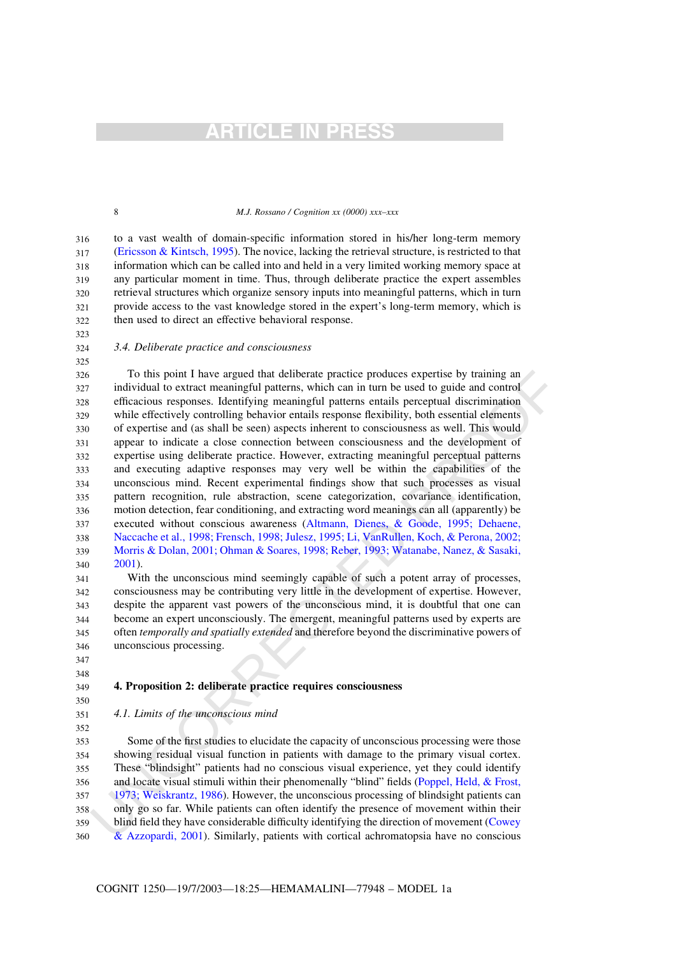# RTICI F IN P

### 8 M.J. Rossano / Cognition xx (0000) xxx-xxx

to a vast wealth of domain-specific information stored in his/her long-term memory ([Ericsson & Kintsch, 1995](#page-26-0)). The novice, lacking the retrieval structure, is restricted to that information which can be called into and held in a very limited working memory space at any particular moment in time. Thus, through deliberate practice the expert assembles retrieval structures which organize sensory inputs into meaningful patterns, which in turn provide access to the vast knowledge stored in the expert's long-term memory, which is then used to direct an effective behavioral response. 316 317 318 319 320 321 322

323

325

#### 3.4. Deliberate practice and consciousness 324

To this point I have argued that elliterate practice produces expertise by training an<br>
individual to extract meaningful patterns, which can in turn be used to guide and control<br>
efficievisty responses. Identifying meanin To this point I have argued that deliberate practice produces expertise by training an individual to extract meaningful patterns, which can in turn be used to guide and control efficacious responses. Identifying meaningful patterns entails perceptual discrimination while effectively controlling behavior entails response flexibility, both essential elements of expertise and (as shall be seen) aspects inherent to consciousness as well. This would appear to indicate a close connection between consciousness and the development of expertise using deliberate practice. However, extracting meaningful perceptual patterns and executing adaptive responses may very well be within the capabilities of the unconscious mind. Recent experimental findings show that such processes as visual pattern recognition, rule abstraction, scene categorization, covariance identification, motion detection, fear conditioning, and extracting word meanings can all (apparently) be executed without conscious awareness (Altmann, Dienes, & Goode, 1995; Dehaene, Naccache et al., 1998; Frensch, 1998; Julesz, 1995; Li, VanRullen, Koch, & Perona, 2002; Morris & Dolan, 2001; Ohman & Soares, 1998; Reber, 1993; Watanabe, Nanez, & Sasaki, 2001). 326 327 328 329 330 331 332 333 334 335 336 337 338 339 340

With the unconscious mind seemingly capable of such a potent array of processes, consciousness may be contributing very little in the development of expertise. However, despite the apparent vast powers of the unconscious mind, it is doubtful that one can become an expert unconsciously. The emergent, meaningful patterns used by experts are often temporally and spatially extended and therefore beyond the discriminative powers of unconscious processing. 341 342 343 344 345 346

347 348

350

352

#### 4. Proposition 2: deliberate practice requires consciousness 349

4.1. Limits of the unconscious mind 351

Some of the first studies to elucidate the capacity of unconscious processing were those showing residual visual function in patients with damage to the primary visual cortex. These "blindsight" patients had no conscious visual experience, yet they could identify and locate visual stimuli within their phenomenally "blind" fields (Poppel, Held, & Frost, 1973; Weiskrantz, 1986). However, the unconscious processing of blindsight patients can only go so far. While patients can often identify the presence of movement within their blind field they have considerable difficulty identifying the direction of movement (Cowey [& Azzopardi, 2001](#page-25-0)). Similarly, patients with cortical achromatopsia have no conscious 353 354 355 356 357 358 359 360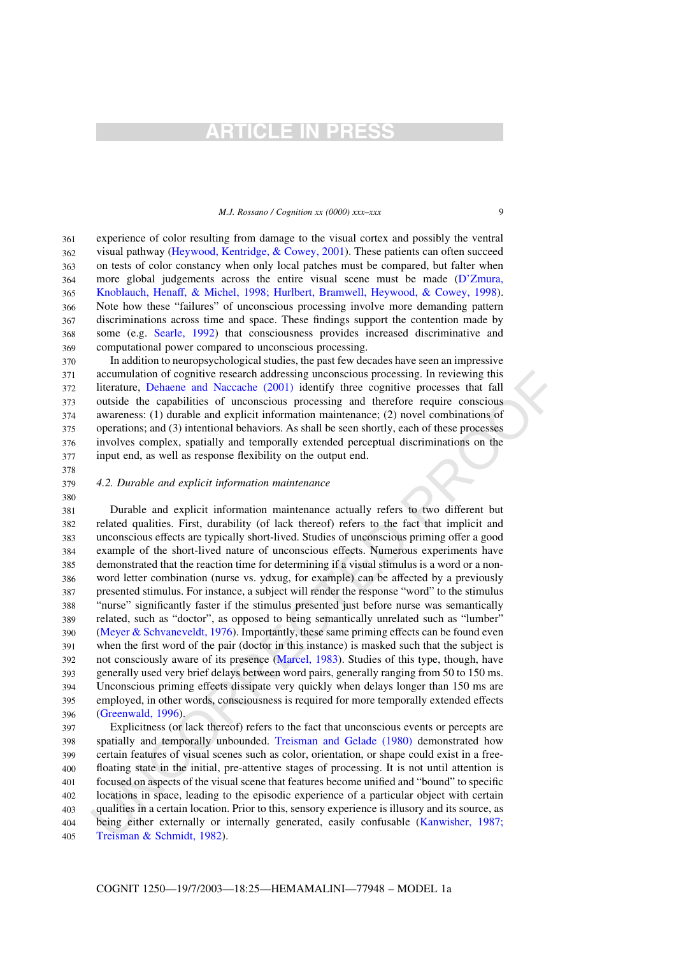## **TICLE IN**

#### M.J. Rossano / Cognition xx (0000) xxx–xxx 9

experience of color resulting from damage to the visual cortex and possibly the ventral visual pathway [\(Heywood, Kentridge, & Cowey, 2001\)](#page-26-0). These patients can often succeed on tests of color constancy when only local patches must be compared, but falter when more global judgements across the entire visual scene must be made ([D'Zmura,](#page-26-0) [Knoblauch, Henaff, & Michel, 1998; Hurlbert, Bramwell, Heywood, & Cowey, 1998\)](#page-26-0). Note how these "failures" of unconscious processing involve more demanding pattern discriminations across time and space. These findings support the contention made by some (e.g. [Searle, 1992](#page-29-0)) that consciousness provides increased discriminative and computational power compared to unconscious processing. 361 362 363 364 365 366 367 368 369

In addition to neuropsychological studies, the past few decades have seen an impressive accumulation of cognitive research addressing unconscious processing. In reviewing this literature, Dehaene and Naccache (2001) identify three cognitive processes that fall outside the capabilities of unconscious processing and therefore require conscious awareness: (1) durable and explicit information maintenance; (2) novel combinations of operations; and (3) intentional behaviors. As shall be seen shortly, each of these processes involves complex, spatially and temporally extended perceptual discriminations on the input end, as well as response flexibility on the output end. 370 371 372 373 374 375 376 377

### 378

380

#### 4.2. Durable and explicit information maintenance 379

accumulation of cognitive research addressing unconscious processing. In reviewing this control<br>iterature, Dehane and Naccache (2001) identify three cognitive processes that fall<br>ulterature, Dehane and Naccache (2001) iden Durable and explicit information maintenance actually refers to two different but related qualities. First, durability (of lack thereof) refers to the fact that implicit and unconscious effects are typically short-lived. Studies of unconscious priming offer a good example of the short-lived nature of unconscious effects. Numerous experiments have demonstrated that the reaction time for determining if a visual stimulus is a word or a nonword letter combination (nurse vs. ydxug, for example) can be affected by a previously presented stimulus. For instance, a subject will render the response "word" to the stimulus "nurse" significantly faster if the stimulus presented just before nurse was semantically related, such as "doctor", as opposed to being semantically unrelated such as "lumber" (Meyer & Schvaneveldt, 1976). Importantly, these same priming effects can be found even when the first word of the pair (doctor in this instance) is masked such that the subject is not consciously aware of its presence (Marcel, 1983). Studies of this type, though, have generally used very brief delays between word pairs, generally ranging from 50 to 150 ms. Unconscious priming effects dissipate very quickly when delays longer than 150 ms are employed, in other words, consciousness is required for more temporally extended effects (Greenwald, 1996). 381 382 383 384 385 386 387 388 389 390 391 392 393 394 395 396

Explicitness (or lack thereof) refers to the fact that unconscious events or percepts are spatially and temporally unbounded. Treisman and Gelade (1980) demonstrated how certain features of visual scenes such as color, orientation, or shape could exist in a freefloating state in the initial, pre-attentive stages of processing. It is not until attention is focused on aspects of the visual scene that features become unified and "bound" to specific locations in space, leading to the episodic experience of a particular object with certain qualities in a certain location. Prior to this, sensory experience is illusory and its source, as being either externally or internally generated, easily confusable (Kanwisher, 1987; [Treisman & Schmidt, 1982](#page-27-0)). 397 398 399 400 401 402 403 404 405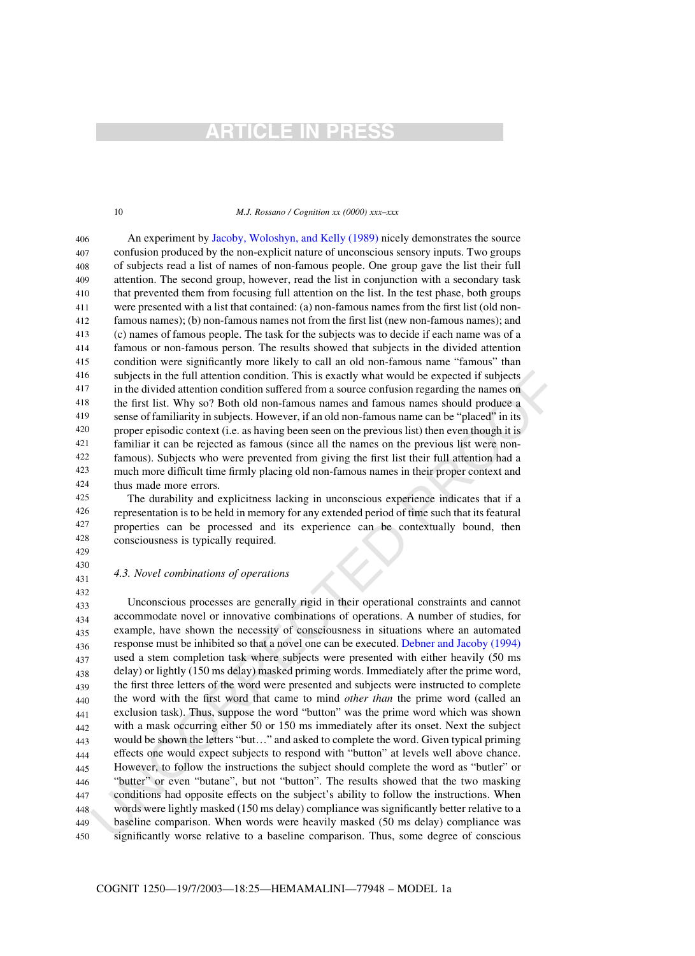### 10 *M.J. Rossano / Cognition xx* (0000) xxx–xxx

An experiment by [Jacoby, Woloshyn, and Kelly \(1989\)](#page-27-0) nicely demonstrates the source confusion produced by the non-explicit nature of unconscious sensory inputs. Two groups of subjects read a list of names of non-famous people. One group gave the list their full attention. The second group, however, read the list in conjunction with a secondary task that prevented them from focusing full attention on the list. In the test phase, both groups were presented with a list that contained: (a) non-famous names from the first list (old nonfamous names); (b) non-famous names not from the first list (new non-famous names); and (c) names of famous people. The task for the subjects was to decide if each name was of a famous or non-famous person. The results showed that subjects in the divided attention condition were significantly more likely to call an old non-famous name "famous" than subjects in the full attention condition. This is exactly what would be expected if subjects in the divided attention condition suffered from a source confusion regarding the names on the first list. Why so? Both old non-famous names and famous names should produce a sense of familiarity in subjects. However, if an old non-famous name can be "placed" in its proper episodic context (i.e. as having been seen on the previous list) then even though it is familiar it can be rejected as famous (since all the names on the previous list were nonfamous). Subjects who were prevented from giving the first list their full attention had a much more difficult time firmly placing old non-famous names in their proper context and thus made more errors. 406 407 408 409 410 411 412 413 414 415 416 417 418 419 420 421 422  $423$ 424

The durability and explicitness lacking in unconscious experience indicates that if a representation is to be held in memory for any extended period of time such that its featural properties can be processed and its experience can be contextually bound, then consciousness is typically required. 425 426 427 428

429 430 431

432

### 4.3. Novel combinations of operations

subjects in the full attention condition. This is easedly what would be expected if subjects<br>in the divided attention condition suffreed from a source contission regarding the anmes on<br>the first list. Why so? Both old non Unconscious processes are generally rigid in their operational constraints and cannot accommodate novel or innovative combinations of operations. A number of studies, for example, have shown the necessity of consciousness in situations where an automated response must be inhibited so that a novel one can be executed. Debner and Jacoby (1994) used a stem completion task where subjects were presented with either heavily (50 ms delay) or lightly (150 ms delay) masked priming words. Immediately after the prime word, the first three letters of the word were presented and subjects were instructed to complete the word with the first word that came to mind other than the prime word (called an exclusion task). Thus, suppose the word "button" was the prime word which was shown with a mask occurring either 50 or 150 ms immediately after its onset. Next the subject would be shown the letters "but…" and asked to complete the word. Given typical priming effects one would expect subjects to respond with "button" at levels well above chance. However, to follow the instructions the subject should complete the word as "butler" or "butter" or even "butane", but not "button". The results showed that the two masking conditions had opposite effects on the subject's ability to follow the instructions. When words were lightly masked (150 ms delay) compliance was significantly better relative to a baseline comparison. When words were heavily masked (50 ms delay) compliance was significantly worse relative to a baseline comparison. Thus, some degree of conscious 433 434 435 436 437 438 439 440 441 442 443 444 445 446 447 448 449 450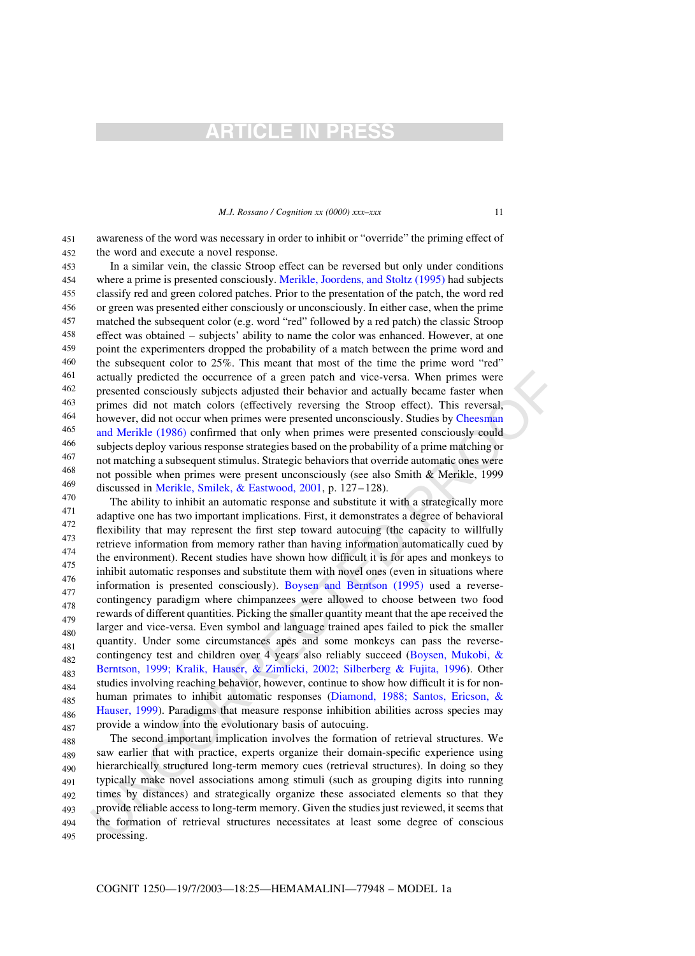#### M.J. Rossano / Cognition xx (0000) xxx–xxx 11

awareness of the word was necessary in order to inhibit or "override" the priming effect of the word and execute a novel response. 451 452

In a similar vein, the classic Stroop effect can be reversed but only under conditions where a prime is presented consciously. [Merikle, Joordens, and Stoltz \(1995\)](#page-28-0) had subjects classify red and green colored patches. Prior to the presentation of the patch, the word red or green was presented either consciously or unconsciously. In either case, when the prime matched the subsequent color (e.g. word "red" followed by a red patch) the classic Stroop effect was obtained – subjects' ability to name the color was enhanced. However, at one point the experimenters dropped the probability of a match between the prime word and the subsequent color to 25%. This meant that most of the time the prime word "red" actually predicted the occurrence of a green patch and vice-versa. When primes were presented consciously subjects adjusted their behavior and actually became faster when primes did not match colors (effectively reversing the Stroop effect). This reversal, however, did not occur when primes were presented unconsciously. Studies by Cheesman and Merikle (1986) confirmed that only when primes were presented consciously could subjects deploy various response strategies based on the probability of a prime matching or not matching a subsequent stimulus. Strategic behaviors that override automatic ones were not possible when primes were present unconsciously (see also Smith & Merikle, 1999 discussed in Merikle, Smilek, & Eastwood, 2001, p. 127–128). 453 454 455 456 457 458 459 460 461 462 463 464 465 466 467 468 469

actually prodicted the occurrence of a green patch and vioe-versa. When primes were<br>primes ed consciously subjects adjusted their behave and actually became faster when<br>primes did not match colors (effectively reversing t The ability to inhibit an automatic response and substitute it with a strategically more adaptive one has two important implications. First, it demonstrates a degree of behavioral flexibility that may represent the first step toward autocuing (the capacity to willfully retrieve information from memory rather than having information automatically cued by the environment). Recent studies have shown how difficult it is for apes and monkeys to inhibit automatic responses and substitute them with novel ones (even in situations where information is presented consciously). Boysen and Berntson (1995) used a reversecontingency paradigm where chimpanzees were allowed to choose between two food rewards of different quantities. Picking the smaller quantity meant that the ape received the larger and vice-versa. Even symbol and language trained apes failed to pick the smaller quantity. Under some circumstances apes and some monkeys can pass the reversecontingency test and children over 4 years also reliably succeed (Boysen, Mukobi, & Berntson, 1999; Kralik, Hauser, & Zimlicki, 2002; Silberberg & Fujita, 1996). Other studies involving reaching behavior, however, continue to show how difficult it is for nonhuman primates to inhibit automatic responses (Diamond, 1988; Santos, Ericson, & Hauser, 1999). Paradigms that measure response inhibition abilities across species may provide a window into the evolutionary basis of autocuing. 470 471 472 473 474 475 476 477 478 479 480 481 482 483 484 485 486 487

The second important implication involves the formation of retrieval structures. We saw earlier that with practice, experts organize their domain-specific experience using hierarchically structured long-term memory cues (retrieval structures). In doing so they typically make novel associations among stimuli (such as grouping digits into running times by distances) and strategically organize these associated elements so that they provide reliable access to long-term memory. Given the studies just reviewed, it seems that the formation of retrieval structures necessitates at least some degree of conscious processing. 488 489 490 491 492 493 494 495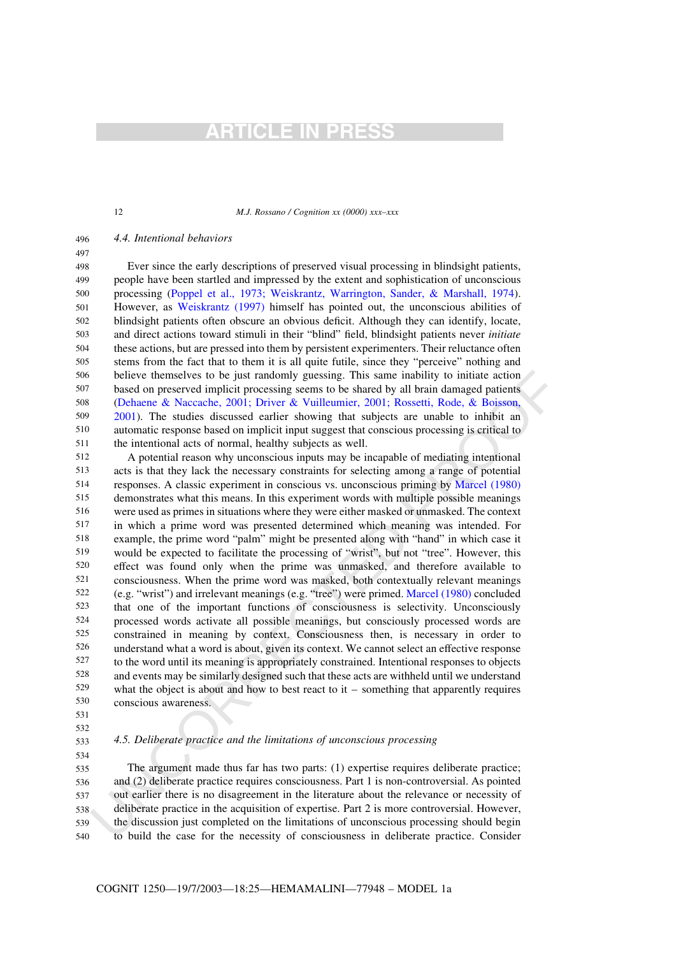# RTICI F IN

12 M.J. Rossano / Cognition xx (0000) xxx–xxx

#### 4.4. Intentional behaviors 496

497

Ever since the early descriptions of preserved visual processing in blindsight patients, people have been startled and impressed by the extent and sophistication of unconscious processing ([Poppel et al., 1973; Weiskrantz, Warrington, Sander, & Marshall, 1974](#page-28-0)). However, as [Weiskrantz \(1997\)](#page-29-0) himself has pointed out, the unconscious abilities of blindsight patients often obscure an obvious deficit. Although they can identify, locate, and direct actions toward stimuli in their "blind" field, blindsight patients never *initiate* these actions, but are pressed into them by persistent experimenters. Their reluctance often stems from the fact that to them it is all quite futile, since they "perceive" nothing and believe themselves to be just randomly guessing. This same inability to initiate action based on preserved implicit processing seems to be shared by all brain damaged patients (Dehaene & Naccache, 2001; Driver & Vuilleumier, 2001; Rossetti, Rode, & Boisson, 2001). The studies discussed earlier showing that subjects are unable to inhibit an automatic response based on implicit input suggest that conscious processing is critical to the intentional acts of normal, healthy subjects as well. 498 499 500 501 502 503 504 505 506 507 508 509 510 511

believe themselves to be just randomly questing. This same inability to initials action<br>based on preserved implicit processing seems to be shared by all brain damaged patients<br>(Dchance & Naccuche. 2001; Driver & Vuilleumi A potential reason why unconscious inputs may be incapable of mediating intentional acts is that they lack the necessary constraints for selecting among a range of potential responses. A classic experiment in conscious vs. unconscious priming by Marcel (1980) demonstrates what this means. In this experiment words with multiple possible meanings were used as primes in situations where they were either masked or unmasked. The context in which a prime word was presented determined which meaning was intended. For example, the prime word "palm" might be presented along with "hand" in which case it would be expected to facilitate the processing of "wrist", but not "tree". However, this effect was found only when the prime was unmasked, and therefore available to consciousness. When the prime word was masked, both contextually relevant meanings (e.g. "wrist") and irrelevant meanings (e.g. "tree") were primed. Marcel (1980) concluded that one of the important functions of consciousness is selectivity. Unconsciously processed words activate all possible meanings, but consciously processed words are constrained in meaning by context. Consciousness then, is necessary in order to understand what a word is about, given its context. We cannot select an effective response to the word until its meaning is appropriately constrained. Intentional responses to objects and events may be similarly designed such that these acts are withheld until we understand what the object is about and how to best react to  $it$  – something that apparently requires conscious awareness. 512 513 514 515 516 517 518 519 520 521 522 523 524 525 526 527 528 529 530

531

### 532

534

#### 4.5. Deliberate practice and the limitations of unconscious processing 533

The argument made thus far has two parts: (1) expertise requires deliberate practice; and (2) deliberate practice requires consciousness. Part 1 is non-controversial. As pointed out earlier there is no disagreement in the literature about the relevance or necessity of deliberate practice in the acquisition of expertise. Part 2 is more controversial. However, the discussion just completed on the limitations of unconscious processing should begin to build the case for the necessity of consciousness in deliberate practice. Consider 535 536 537 538 539 540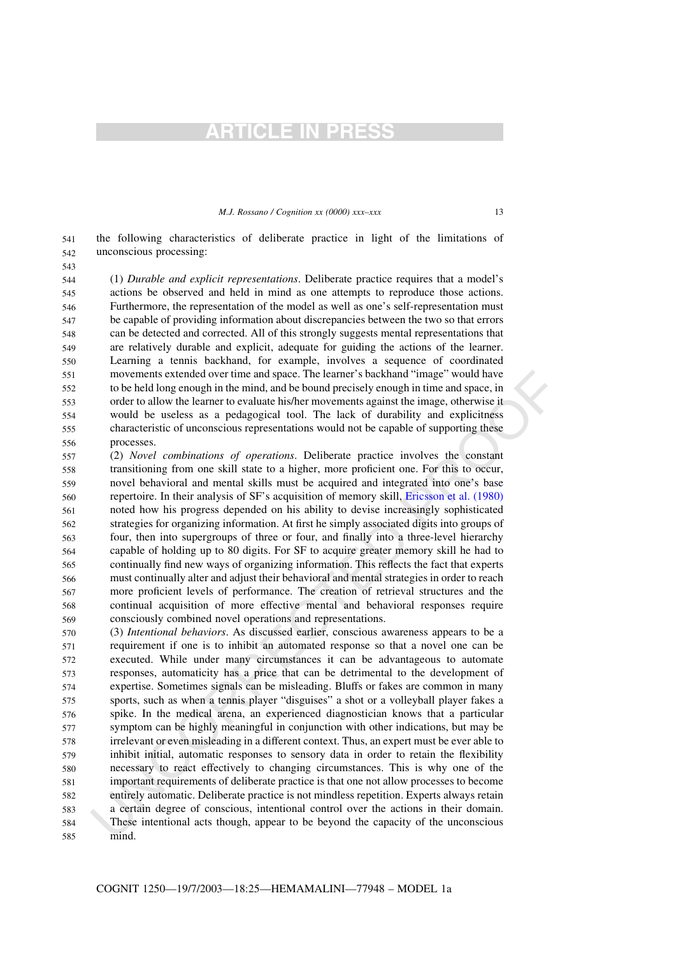### M.J. Rossano / Cognition xx (0000) xxx–xxx 13

the following characteristics of deliberate practice in light of the limitations of unconscious processing: 541 542

543

(1) Durable and explicit representations. Deliberate practice requires that a model's actions be observed and held in mind as one attempts to reproduce those actions. Furthermore, the representation of the model as well as one's self-representation must be capable of providing information about discrepancies between the two so that errors can be detected and corrected. All of this strongly suggests mental representations that are relatively durable and explicit, adequate for guiding the actions of the learner. Learning a tennis backhand, for example, involves a sequence of coordinated movements extended over time and space. The learner's backhand "image" would have to be held long enough in the mind, and be bound precisely enough in time and space, in order to allow the learner to evaluate his/her movements against the image, otherwise it would be useless as a pedagogical tool. The lack of durability and explicitness characteristic of unconscious representations would not be capable of supporting these processes. 544 545 546 547 548 549 550 551 552 553 554 555 556

(2) Novel combinations of operations. Deliberate practice involves the constant transitioning from one skill state to a higher, more proficient one. For this to occur, novel behavioral and mental skills must be acquired and integrated into one's base repertoire. In their analysis of SF's acquisition of memory skill, Ericsson et al. (1980) noted how his progress depended on his ability to devise increasingly sophisticated strategies for organizing information. At first he simply associated digits into groups of four, then into supergroups of three or four, and finally into a three-level hierarchy capable of holding up to 80 digits. For SF to acquire greater memory skill he had to continually find new ways of organizing information. This reflects the fact that experts must continually alter and adjust their behavioral and mental strategies in order to reach more proficient levels of performance. The creation of retrieval structures and the continual acquisition of more effective mental and behavioral responses require consciously combined novel operations and representations. 557 558 559 560 561 562 563 564 565 566 567 568 569

movements extended over time and space. The learner's backhard "image" would have<br>constent and the bound precisely enough in time and space, in<br>order to allow the learner to evaluate his/her movements against the image, ot (3) Intentional behaviors. As discussed earlier, conscious awareness appears to be a requirement if one is to inhibit an automated response so that a novel one can be executed. While under many circumstances it can be advantageous to automate responses, automaticity has a price that can be detrimental to the development of expertise. Sometimes signals can be misleading. Bluffs or fakes are common in many sports, such as when a tennis player "disguises" a shot or a volleyball player fakes a spike. In the medical arena, an experienced diagnostician knows that a particular symptom can be highly meaningful in conjunction with other indications, but may be irrelevant or even misleading in a different context. Thus, an expert must be ever able to inhibit initial, automatic responses to sensory data in order to retain the flexibility necessary to react effectively to changing circumstances. This is why one of the important requirements of deliberate practice is that one not allow processes to become entirely automatic. Deliberate practice is not mindless repetition. Experts always retain a certain degree of conscious, intentional control over the actions in their domain. These intentional acts though, appear to be beyond the capacity of the unconscious mind. 570 571 572 573 574 575 576 577 578 579 580 581 582 583 584 585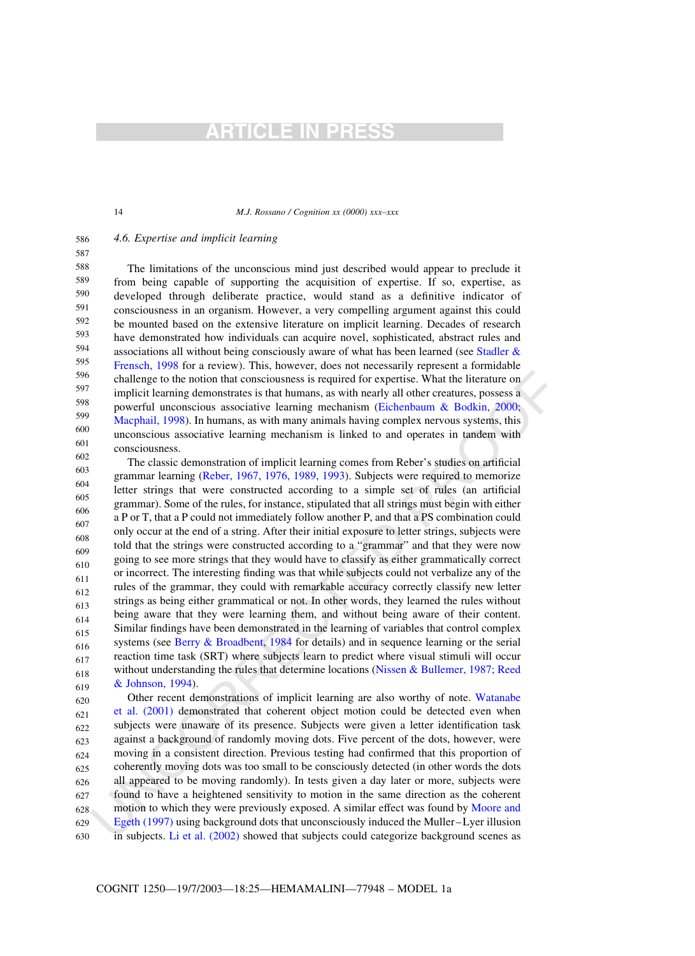### 14 M.J. Rossano / Cognition xx (0000) xxx–xxx

#### 4.6. Expertise and implicit learning 586

The limitations of the unconscious mind just described would appear to preclude it from being capable of supporting the acquisition of expertise. If so, expertise, as developed through deliberate practice, would stand as a definitive indicator of consciousness in an organism. However, a very compelling argument against this could be mounted based on the extensive literature on implicit learning. Decades of research have demonstrated how individuals can acquire novel, sophisticated, abstract rules and associations all without being consciously aware of what has been learned (see Stadler  $\&$ [Frensch, 1998](#page-29-0) for a review). This, however, does not necessarily represent a formidable challenge to the notion that consciousness is required for expertise. What the literature on implicit learning demonstrates is that humans, as with nearly all other creatures, possess a powerful unconscious associative learning mechanism (Eichenbaum & Bodkin, 2000; Macphail, 1998). In humans, as with many animals having complex nervous systems, this unconscious associative learning mechanism is linked to and operates in tandem with consciousness. 588 589 590 591 592 593 594 595 596 597 598 599 600 601

challenge to the notion that consciousness is required for expertise. What the literature on implicit learning denotatines is that lumans, as with nearly all other creatures, posses a powerful unconcious associative learni The classic demonstration of implicit learning comes from Reber's studies on artificial grammar learning (Reber, 1967, 1976, 1989, 1993). Subjects were required to memorize letter strings that were constructed according to a simple set of rules (an artificial grammar). Some of the rules, for instance, stipulated that all strings must begin with either a P or T, that a P could not immediately follow another P, and that a PS combination could only occur at the end of a string. After their initial exposure to letter strings, subjects were told that the strings were constructed according to a "grammar" and that they were now going to see more strings that they would have to classify as either grammatically correct or incorrect. The interesting finding was that while subjects could not verbalize any of the rules of the grammar, they could with remarkable accuracy correctly classify new letter strings as being either grammatical or not. In other words, they learned the rules without being aware that they were learning them, and without being aware of their content. Similar findings have been demonstrated in the learning of variables that control complex systems (see Berry & Broadbent, 1984 for details) and in sequence learning or the serial reaction time task (SRT) where subjects learn to predict where visual stimuli will occur without understanding the rules that determine locations (Nissen & Bullemer, 1987; Reed & Johnson, 1994). 602 603 604 605 606 607 608 609 610 611 612 613 614 615 616 617 618 619

Other recent demonstrations of implicit learning are also worthy of note. Watanabe et al. (2001) demonstrated that coherent object motion could be detected even when subjects were unaware of its presence. Subjects were given a letter identification task against a background of randomly moving dots. Five percent of the dots, however, were moving in a consistent direction. Previous testing had confirmed that this proportion of coherently moving dots was too small to be consciously detected (in other words the dots all appeared to be moving randomly). In tests given a day later or more, subjects were found to have a heightened sensitivity to motion in the same direction as the coherent motion to which they were previously exposed. A similar effect was found by Moore and Egeth (1997) using background dots that unconsciously induced the Muller–Lyer illusion in subjects. [Li et al. \(2002\)](#page-27-0) showed that subjects could categorize background scenes as 620 621 622 623 624 625 626 627 628 629 630

587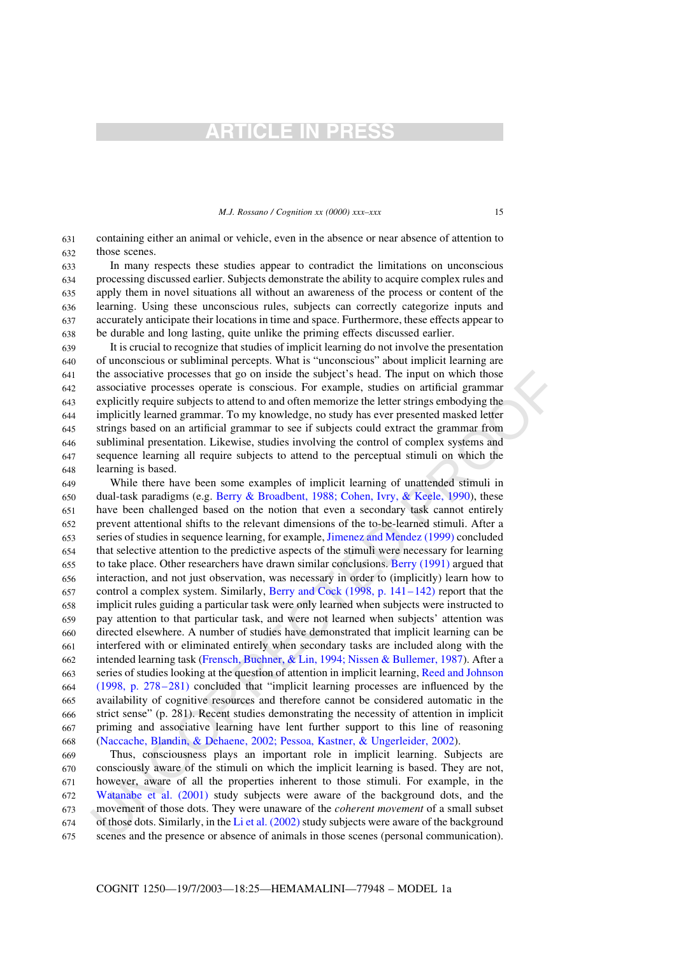#### M.J. Rossano / Cognition xx (0000) xxx–xxx 15

containing either an animal or vehicle, even in the absence or near absence of attention to those scenes. 631 632

In many respects these studies appear to contradict the limitations on unconscious processing discussed earlier. Subjects demonstrate the ability to acquire complex rules and apply them in novel situations all without an awareness of the process or content of the learning. Using these unconscious rules, subjects can correctly categorize inputs and accurately anticipate their locations in time and space. Furthermore, these effects appear to be durable and long lasting, quite unlike the priming effects discussed earlier. 633 634 635 636 637 638

It is crucial to recognize that studies of implicit learning do not involve the presentation of unconscious or subliminal percepts. What is "unconscious" about implicit learning are the associative processes that go on inside the subject's head. The input on which those associative processes operate is conscious. For example, studies on artificial grammar explicitly require subjects to attend to and often memorize the letter strings embodying the implicitly learned grammar. To my knowledge, no study has ever presented masked letter strings based on an artificial grammar to see if subjects could extract the grammar from subliminal presentation. Likewise, studies involving the control of complex systems and sequence learning all require subjects to attend to the perceptual stimuli on which the learning is based. 639 640 641 642 643 644 645 646 647 648

the associative processes that go on inside the subject's head. The input on which those<br>associative processes operate is conscions. For example, studies on artificial grammar<br>explicitly required subjects to attact on do While there have been some examples of implicit learning of unattended stimuli in dual-task paradigms (e.g. Berry & Broadbent, 1988; Cohen, Ivry, & Keele, 1990), these have been challenged based on the notion that even a secondary task cannot entirely prevent attentional shifts to the relevant dimensions of the to-be-learned stimuli. After a series of studies in sequence learning, for example, Jimenez and Mendez (1999) concluded that selective attention to the predictive aspects of the stimuli were necessary for learning to take place. Other researchers have drawn similar conclusions. Berry (1991) argued that interaction, and not just observation, was necessary in order to (implicitly) learn how to control a complex system. Similarly, Berry and Cock (1998, p.  $141-142$ ) report that the implicit rules guiding a particular task were only learned when subjects were instructed to pay attention to that particular task, and were not learned when subjects' attention was directed elsewhere. A number of studies have demonstrated that implicit learning can be interfered with or eliminated entirely when secondary tasks are included along with the intended learning task (Frensch, Buchner, & Lin, 1994; Nissen & Bullemer, 1987). After a series of studies looking at the question of attention in implicit learning, Reed and Johnson (1998, p. 278–281) concluded that "implicit learning processes are influenced by the availability of cognitive resources and therefore cannot be considered automatic in the strict sense" (p. 281). Recent studies demonstrating the necessity of attention in implicit priming and associative learning have lent further support to this line of reasoning (Naccache, Blandin, & Dehaene, 2002; Pessoa, Kastner, & Ungerleider, 2002). 649 650 651 652 653 654 655 656 657 658 659 660 661 662 663 664 665 666 667 668

Thus, consciousness plays an important role in implicit learning. Subjects are consciously aware of the stimuli on which the implicit learning is based. They are not, however, aware of all the properties inherent to those stimuli. For example, in the Watanabe et al. (2001) study subjects were aware of the background dots, and the movement of those dots. They were unaware of the coherent movement of a small subset of those dots. Similarly, in the Li et al. (2002) study subjects were aware of the background scenes and the presence or absence of animals in those scenes (personal communication). 669 670 671 672 673 674 675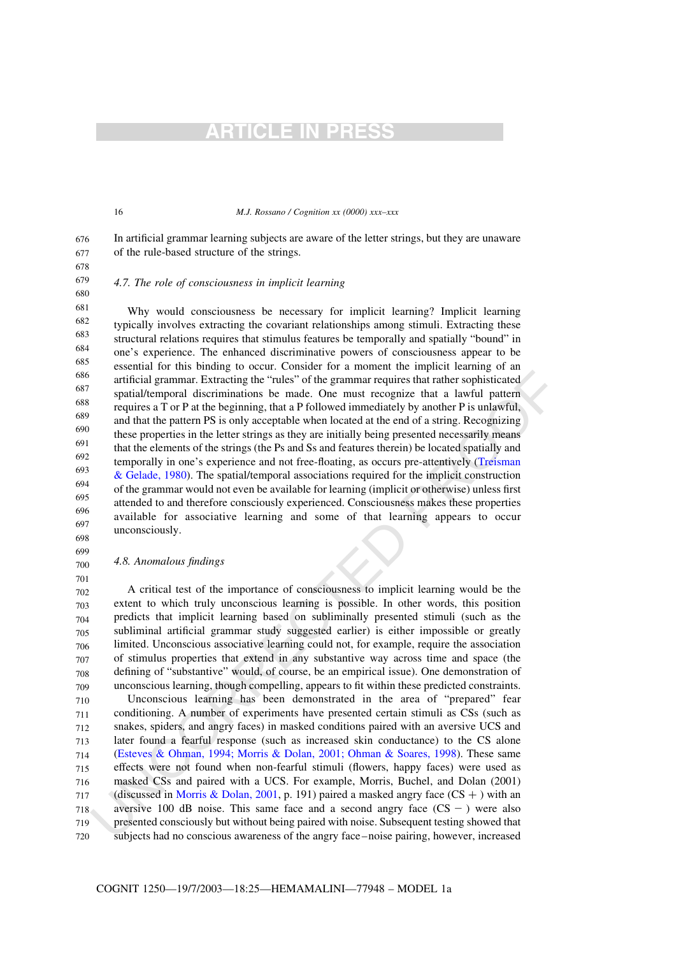# PICLE IN P

### 16 M.J. Rossano / Cognition xx (0000) xxx–xxx

In artificial grammar learning subjects are aware of the letter strings, but they are unaware of the rule-based structure of the strings. 676 677

678 679

680

### 4.7. The role of consciousness in implicit learning

extendint on the basis of the mass in the same of the gramma control and the system and the particular parameteristics that a model of the gramma requires that a having the requires a T or P at the beginning, that a P foll Why would consciousness be necessary for implicit learning? Implicit learning typically involves extracting the covariant relationships among stimuli. Extracting these structural relations requires that stimulus features be temporally and spatially "bound" in one's experience. The enhanced discriminative powers of consciousness appear to be essential for this binding to occur. Consider for a moment the implicit learning of an artificial grammar. Extracting the "rules" of the grammar requires that rather sophisticated spatial/temporal discriminations be made. One must recognize that a lawful pattern requires a T or P at the beginning, that a P followed immediately by another P is unlawful, and that the pattern PS is only acceptable when located at the end of a string. Recognizing these properties in the letter strings as they are initially being presented necessarily means that the elements of the strings (the Ps and Ss and features therein) be located spatially and temporally in one's experience and not free-floating, as occurs pre-attentively (Treisman & Gelade, 1980). The spatial/temporal associations required for the implicit construction of the grammar would not even be available for learning (implicit or otherwise) unless first attended to and therefore consciously experienced. Consciousness makes these properties available for associative learning and some of that learning appears to occur unconsciously. 681 682 683 684 685 686 687 688 689 690 691 692 693 694 695 696 697

698 699 700

701

### 4.8. Anomalous findings

A critical test of the importance of consciousness to implicit learning would be the extent to which truly unconscious learning is possible. In other words, this position predicts that implicit learning based on subliminally presented stimuli (such as the subliminal artificial grammar study suggested earlier) is either impossible or greatly limited. Unconscious associative learning could not, for example, require the association of stimulus properties that extend in any substantive way across time and space (the defining of "substantive" would, of course, be an empirical issue). One demonstration of unconscious learning, though compelling, appears to fit within these predicted constraints. 702 703 704 705 706 707 708 709

Unconscious learning has been demonstrated in the area of "prepared" fear conditioning. A number of experiments have presented certain stimuli as CSs (such as snakes, spiders, and angry faces) in masked conditions paired with an aversive UCS and later found a fearful response (such as increased skin conductance) to the CS alone (Esteves & Ohman, 1994; Morris & Dolan, 2001; Ohman & Soares, 1998). These same effects were not found when non-fearful stimuli (flowers, happy faces) were used as masked CSs and paired with a UCS. For example, Morris, Buchel, and Dolan (2001) (discussed in Morris & Dolan, 2001, p. 191) paired a masked angry face  $(CS + )$  with an aversive 100 dB noise. This same face and a second angry face  $(CS - )$  were also presented consciously but without being paired with noise. Subsequent testing showed that subjects had no conscious awareness of the angry face–noise pairing, however, increased 710 711 712 713 714 715 716 717 718 719 720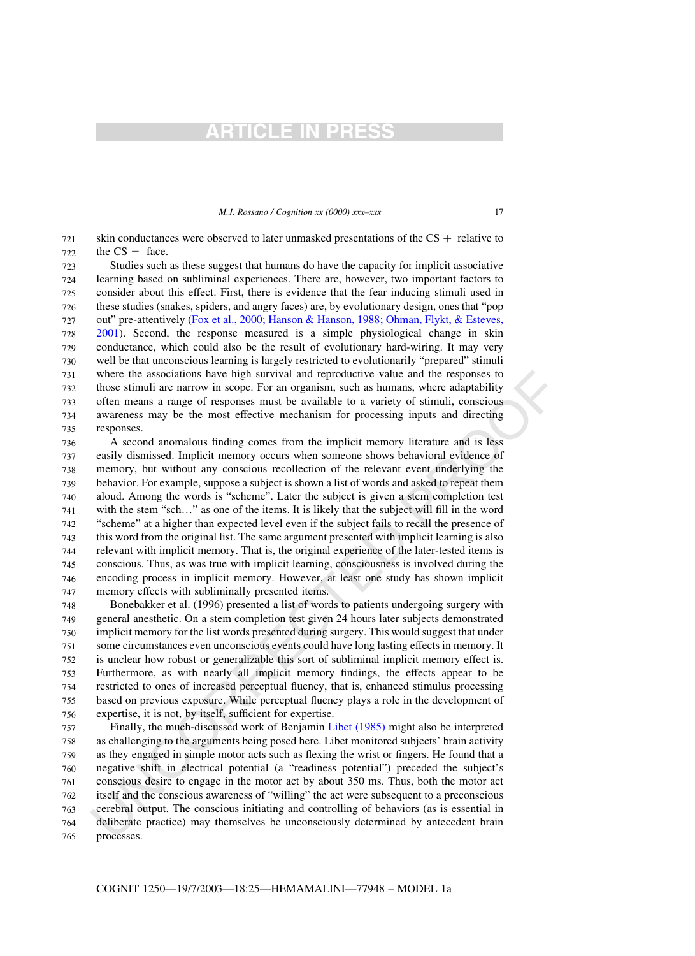### M.J. Rossano / Cognition xx (0000) xxx–xxx 17

skin conductances were observed to later unmasked presentations of the  $CS +$  relative to the  $CS - face$ . 721 722

Studies such as these suggest that humans do have the capacity for implicit associative learning based on subliminal experiences. There are, however, two important factors to consider about this effect. First, there is evidence that the fear inducing stimuli used in these studies (snakes, spiders, and angry faces) are, by evolutionary design, ones that "pop out" pre-attentively ([Fox et al., 2000; Hanson & Hanson, 1988; Ohman, Flykt, & Esteves,](#page-26-0) [2001](#page-26-0)). Second, the response measured is a simple physiological change in skin conductance, which could also be the result of evolutionary hard-wiring. It may very well be that unconscious learning is largely restricted to evolutionarily "prepared" stimuli where the associations have high survival and reproductive value and the responses to those stimuli are narrow in scope. For an organism, such as humans, where adaptability often means a range of responses must be available to a variety of stimuli, conscious awareness may be the most effective mechanism for processing inputs and directing responses. 723 724 725 726 727 728 729 730 731 732 733 734 735

where the associations have high univiral and reproductive value and the responses to<br>more. For an organism, such as humans, where adaptability of<br>those stimuli are narrow in soope. For an organism, such as humans, where A second anomalous finding comes from the implicit memory literature and is less easily dismissed. Implicit memory occurs when someone shows behavioral evidence of memory, but without any conscious recollection of the relevant event underlying the behavior. For example, suppose a subject is shown a list of words and asked to repeat them aloud. Among the words is "scheme". Later the subject is given a stem completion test with the stem "sch..." as one of the items. It is likely that the subject will fill in the word "scheme" at a higher than expected level even if the subject fails to recall the presence of this word from the original list. The same argument presented with implicit learning is also relevant with implicit memory. That is, the original experience of the later-tested items is conscious. Thus, as was true with implicit learning, consciousness is involved during the encoding process in implicit memory. However, at least one study has shown implicit memory effects with subliminally presented items. 736 737 738 739 740 741 742 743 744 745 746 747

Bonebakker et al. (1996) presented a list of words to patients undergoing surgery with general anesthetic. On a stem completion test given 24 hours later subjects demonstrated implicit memory for the list words presented during surgery. This would suggest that under some circumstances even unconscious events could have long lasting effects in memory. It is unclear how robust or generalizable this sort of subliminal implicit memory effect is. Furthermore, as with nearly all implicit memory findings, the effects appear to be restricted to ones of increased perceptual fluency, that is, enhanced stimulus processing based on previous exposure. While perceptual fluency plays a role in the development of expertise, it is not, by itself, sufficient for expertise. 748 749 750 751 752 753 754 755 756

Finally, the much-discussed work of Benjamin Libet (1985) might also be interpreted as challenging to the arguments being posed here. Libet monitored subjects' brain activity as they engaged in simple motor acts such as flexing the wrist or fingers. He found that a negative shift in electrical potential (a "readiness potential") preceded the subject's conscious desire to engage in the motor act by about 350 ms. Thus, both the motor act itself and the conscious awareness of "willing" the act were subsequent to a preconscious cerebral output. The conscious initiating and controlling of behaviors (as is essential in deliberate practice) may themselves be unconsciously determined by antecedent brain processes. 757 758 759 760 761 762 763 764 765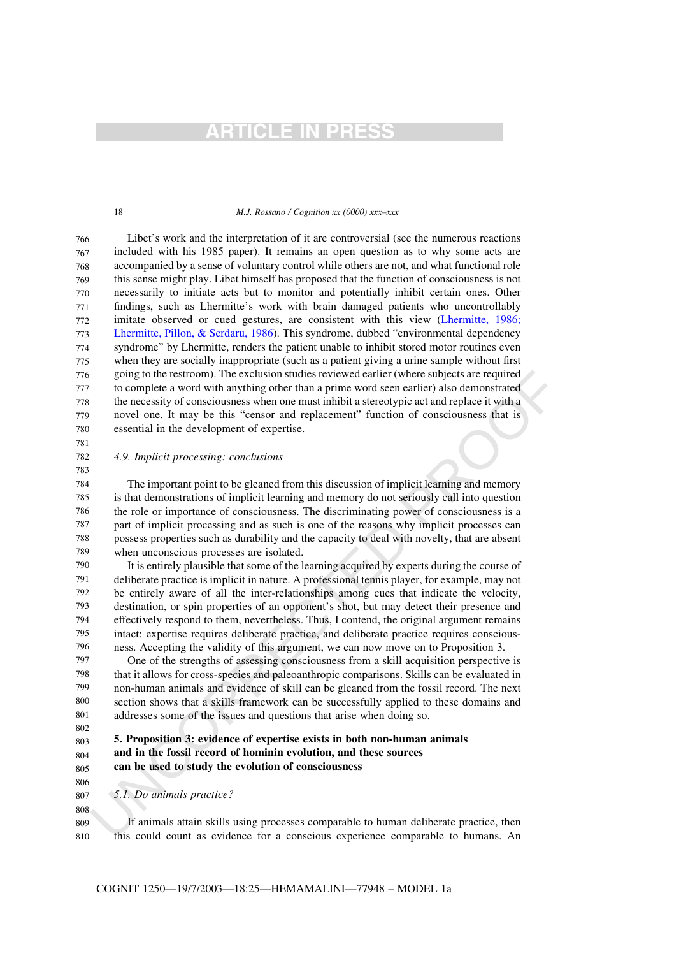# PICLE IN P

### 18 M.J. Rossano / Cognition xx (0000) xxx–xxx

Libet's work and the interpretation of it are controversial (see the numerous reactions included with his 1985 paper). It remains an open question as to why some acts are accompanied by a sense of voluntary control while others are not, and what functional role this sense might play. Libet himself has proposed that the function of consciousness is not necessarily to initiate acts but to monitor and potentially inhibit certain ones. Other findings, such as Lhermitte's work with brain damaged patients who uncontrollably imitate observed or cued gestures, are consistent with this view ([Lhermitte, 1986;](#page-27-0) [Lhermitte, Pillon, & Serdaru, 1986\)](#page-27-0). This syndrome, dubbed "environmental dependency syndrome" by Lhermitte, renders the patient unable to inhibit stored motor routines even when they are socially inappropriate (such as a patient giving a urine sample without first going to the restroom). The exclusion studies reviewed earlier (where subjects are required to complete a word with anything other than a prime word seen earlier) also demonstrated the necessity of consciousness when one must inhibit a stereotypic act and replace it with a novel one. It may be this "censor and replacement" function of consciousness that is essential in the development of expertise. 766 767 768 769 770 771 772 773 774 775 776 777 778 779 780

781 782

783

### 4.9. Implicit processing: conclusions

The important point to be gleaned from this discussion of implicit learning and memory is that demonstrations of implicit learning and memory do not seriously call into question the role or importance of consciousness. The discriminating power of consciousness is a part of implicit processing and as such is one of the reasons why implicit processes can possess properties such as durability and the capacity to deal with novelty, that are absent when unconscious processes are isolated. 784 785 786 787 788 789

going to the restroom). The exclusion studies reviewed earlier (where subjects are required the necessity of consciousness. Wenn out to complete a word with anything other than a prime word secon eartier) also demonstrate It is entirely plausible that some of the learning acquired by experts during the course of deliberate practice is implicit in nature. A professional tennis player, for example, may not be entirely aware of all the inter-relationships among cues that indicate the velocity, destination, or spin properties of an opponent's shot, but may detect their presence and effectively respond to them, nevertheless. Thus, I contend, the original argument remains intact: expertise requires deliberate practice, and deliberate practice requires consciousness. Accepting the validity of this argument, we can now move on to Proposition 3. 790 791 792 793 794 795 796

One of the strengths of assessing consciousness from a skill acquisition perspective is that it allows for cross-species and paleoanthropic comparisons. Skills can be evaluated in non-human animals and evidence of skill can be gleaned from the fossil record. The next section shows that a skills framework can be successfully applied to these domains and addresses some of the issues and questions that arise when doing so. 797 798 799 800 801 802

#### 5. Proposition 3: evidence of expertise exists in both non-human animals and in the fossil record of hominin evolution, and these sources can be used to study the evolution of consciousness 803 804 805

806 807

5.1. Do animals practice?

808

If animals attain skills using processes comparable to human deliberate practice, then this could count as evidence for a conscious experience comparable to humans. An 809 810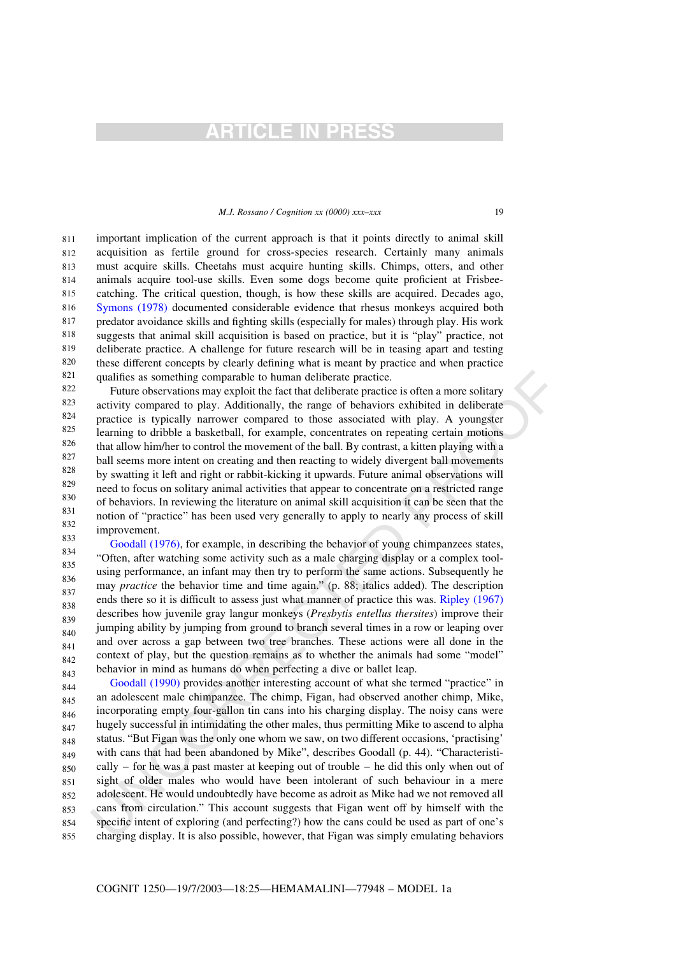#### M.J. Rossano / Cognition xx (0000) xxx–xxx 19

important implication of the current approach is that it points directly to animal skill acquisition as fertile ground for cross-species research. Certainly many animals must acquire skills. Cheetahs must acquire hunting skills. Chimps, otters, and other animals acquire tool-use skills. Even some dogs become quite proficient at Frisbeecatching. The critical question, though, is how these skills are acquired. Decades ago, [Symons \(1978\)](#page-29-0) documented considerable evidence that rhesus monkeys acquired both predator avoidance skills and fighting skills (especially for males) through play. His work suggests that animal skill acquisition is based on practice, but it is "play" practice, not deliberate practice. A challenge for future research will be in teasing apart and testing these different concepts by clearly defining what is meant by practice and when practice qualifies as something comparable to human deliberate practice. 811 812 813 814 815 816 817 818 819 820 821

Future observations may exploit the fact that deliberate practice is often a more solitary activity compared to play. Additionally, the range of behaviors exhibited in deliberate practice is typically narrower compared to those associated with play. A youngster learning to dribble a basketball, for example, concentrates on repeating certain motions that allow him/her to control the movement of the ball. By contrast, a kitten playing with a ball seems more intent on creating and then reacting to widely divergent ball movements by swatting it left and right or rabbit-kicking it upwards. Future animal observations will need to focus on solitary animal activities that appear to concentrate on a restricted range of behaviors. In reviewing the literature on animal skill acquisition it can be seen that the notion of "practice" has been used very generally to apply to nearly any process of skill improvement. 822 823 824 825 826 827 828 829 830 831 832 833

Goodall (1976), for example, in describing the behavior of young chimpanzees states, "Often, after watching some activity such as a male charging display or a complex toolusing performance, an infant may then try to perform the same actions. Subsequently he may practice the behavior time and time again." (p. 88; italics added). The description ends there so it is difficult to assess just what manner of practice this was. Ripley (1967) describes how juvenile gray langur monkeys (Presbytis entellus thersites) improve their jumping ability by jumping from ground to branch several times in a row or leaping over and over across a gap between two tree branches. These actions were all done in the context of play, but the question remains as to whether the animals had some "model" behavior in mind as humans do when perfecting a dive or ballet leap. 834 835 836 837 838 839 840 841 842 843

qualifies as something comparable to human deliberate practice.<br>
Fruitre obervations may exploit the feel that deliberate practice is often a more solitary<br>
Fruitre obervations may exploit the feel that deliberate practic Goodall (1990) provides another interesting account of what she termed "practice" in an adolescent male chimpanzee. The chimp, Figan, had observed another chimp, Mike, incorporating empty four-gallon tin cans into his charging display. The noisy cans were hugely successful in intimidating the other males, thus permitting Mike to ascend to alpha status. "But Figan was the only one whom we saw, on two different occasions, 'practising' with cans that had been abandoned by Mike", describes Goodall (p. 44). "Characteristically  $-$  for he was a past master at keeping out of trouble  $-$  he did this only when out of sight of older males who would have been intolerant of such behaviour in a mere adolescent. He would undoubtedly have become as adroit as Mike had we not removed all cans from circulation." This account suggests that Figan went off by himself with the specific intent of exploring (and perfecting?) how the cans could be used as part of one's charging display. It is also possible, however, that Figan was simply emulating behaviors 844 845 846 847 848 849 850 851 852 853 854 855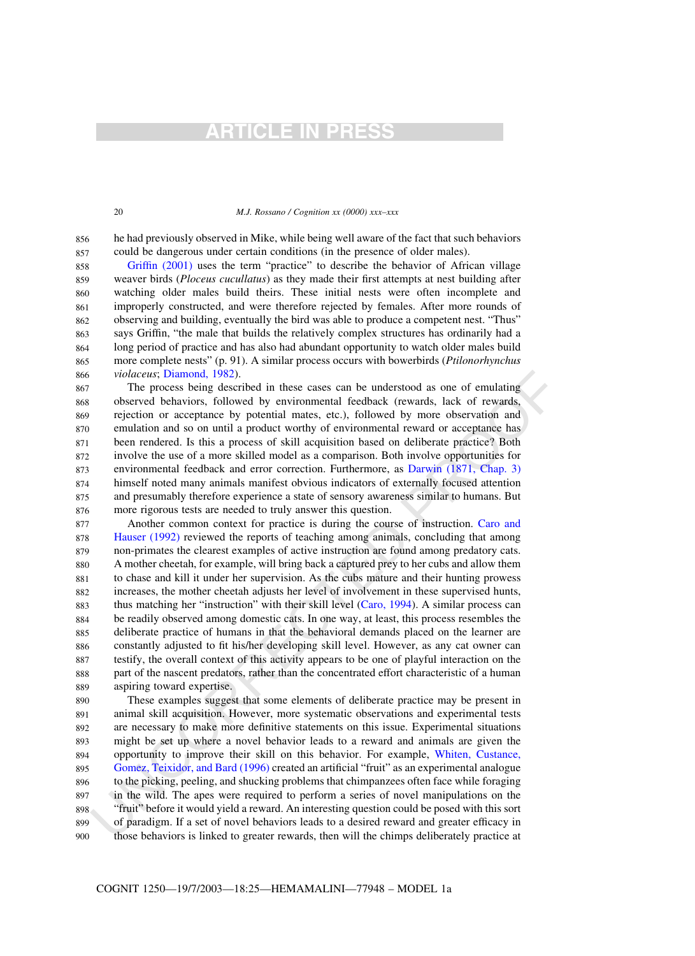### 20 M.J. Rossano / Cognition xx (0000) xxx–xxx

he had previously observed in Mike, while being well aware of the fact that such behaviors could be dangerous under certain conditions (in the presence of older males). 856 857

[Griffin \(2001\)](#page-26-0) uses the term "practice" to describe the behavior of African village weaver birds (Ploceus cucullatus) as they made their first attempts at nest building after watching older males build theirs. These initial nests were often incomplete and improperly constructed, and were therefore rejected by females. After more rounds of observing and building, eventually the bird was able to produce a competent nest. "Thus" says Griffin, "the male that builds the relatively complex structures has ordinarily had a long period of practice and has also had abundant opportunity to watch older males build more complete nests" (p. 91). A similar process occurs with bowerbirds (*Ptilonorhynchus* violaceus; Diamond, 1982). 858 859 860 861 862 863 864 865 866

The process being described in these cases can be understood as one of emulating observed behaviors, followed by environmental feedback (rewards, lack of rewards, rejection or acceptance by potential mates, etc.), followed by more observation and emulation and so on until a product worthy of environmental reward or acceptance has been rendered. Is this a process of skill acquisition based on deliberate practice? Both involve the use of a more skilled model as a comparison. Both involve opportunities for environmental feedback and error correction. Furthermore, as Darwin (1871, Chap. 3) himself noted many animals manifest obvious indicators of externally focused attention and presumably therefore experience a state of sensory awareness similar to humans. But more rigorous tests are needed to truly answer this question. 867 868 869 870 871 872 873 874 875 876

*violences*; Diamond, 1992). (with the meass can be understood as one of emulating observed behaviors, followed by environmental feeldoat (wevards, lack of rewards, the correspondent of acceptance by potential mates, etc.) Another common context for practice is during the course of instruction. Caro and Hauser (1992) reviewed the reports of teaching among animals, concluding that among non-primates the clearest examples of active instruction are found among predatory cats. A mother cheetah, for example, will bring back a captured prey to her cubs and allow them to chase and kill it under her supervision. As the cubs mature and their hunting prowess increases, the mother cheetah adjusts her level of involvement in these supervised hunts, thus matching her "instruction" with their skill level (Caro, 1994). A similar process can be readily observed among domestic cats. In one way, at least, this process resembles the deliberate practice of humans in that the behavioral demands placed on the learner are constantly adjusted to fit his/her developing skill level. However, as any cat owner can testify, the overall context of this activity appears to be one of playful interaction on the part of the nascent predators, rather than the concentrated effort characteristic of a human aspiring toward expertise. 877 878 879 880 881 882 883 884 885 886 887 888 889

These examples suggest that some elements of deliberate practice may be present in animal skill acquisition. However, more systematic observations and experimental tests are necessary to make more definitive statements on this issue. Experimental situations might be set up where a novel behavior leads to a reward and animals are given the opportunity to improve their skill on this behavior. For example, Whiten, Custance, Gomez, Teixidor, and Bard (1996) created an artificial "fruit" as an experimental analogue to the picking, peeling, and shucking problems that chimpanzees often face while foraging in the wild. The apes were required to perform a series of novel manipulations on the "fruit" before it would yield a reward. An interesting question could be posed with this sort of paradigm. If a set of novel behaviors leads to a desired reward and greater efficacy in those behaviors is linked to greater rewards, then will the chimps deliberately practice at 890 891 892 893 894 895 896 897 898 899 900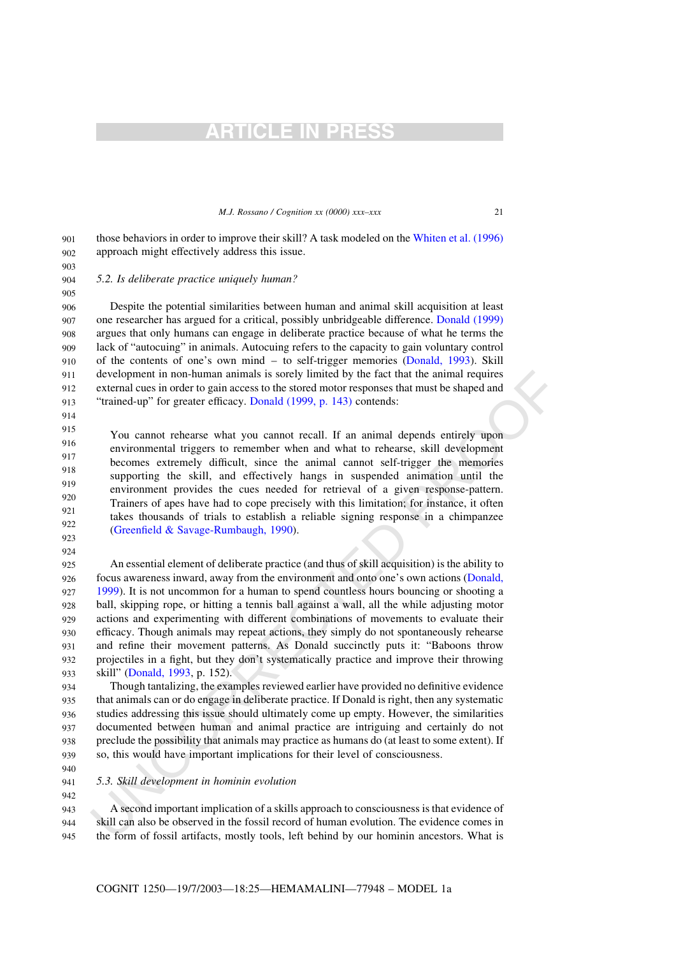#### M.J. Rossano / Cognition xx (0000) xxx–xxx 21

those behaviors in order to improve their skill? A task modeled on the [Whiten et al. \(1996\)](#page-29-0) approach might effectively address this issue. 901 902

5.2. Is deliberate practice uniquely human? 904

Despite the potential similarities between human and animal skill acquisition at least one researcher has argued for a critical, possibly unbridgeable difference. [Donald \(1999\)](#page-25-0) argues that only humans can engage in deliberate practice because of what he terms the lack of "autocuing" in animals. Autocuing refers to the capacity to gain voluntary control of the contents of one's own mind – to self-trigger memories [\(Donald, 1993](#page-25-0)). Skill development in non-human animals is sorely limited by the fact that the animal requires external cues in order to gain access to the stored motor responses that must be shaped and "trained-up" for greater efficacy. Donald (1999, p. 143) contends: 906 907 908 909 910 911 912 913

914

916 917 918

903

905

You cannot rehearse what you cannot recall. If an animal depends entirely upon environmental triggers to remember when and what to rehearse, skill development becomes extremely difficult, since the animal cannot self-trigger the memories supporting the skill, and effectively hangs in suspended animation until the environment provides the cues needed for retrieval of a given response-pattern. Trainers of apes have had to cope precisely with this limitation; for instance, it often takes thousands of trials to establish a reliable signing response in a chimpanzee (Greenfield & Savage-Rumbaugh, 1990). 915 919 920

922 923 924

921

development in non-human aimials is sorely limited by the fact that the animal requires<br>external case in order to gain access to the stored motor responses that must be shaped and<br>"trained-up" for greater efficiecy. Donald An essential element of deliberate practice (and thus of skill acquisition) is the ability to focus awareness inward, away from the environment and onto one's own actions (Donald, 1999). It is not uncommon for a human to spend countless hours bouncing or shooting a ball, skipping rope, or hitting a tennis ball against a wall, all the while adjusting motor actions and experimenting with different combinations of movements to evaluate their efficacy. Though animals may repeat actions, they simply do not spontaneously rehearse and refine their movement patterns. As Donald succinctly puts it: "Baboons throw projectiles in a fight, but they don't systematically practice and improve their throwing skill" (Donald, 1993, p. 152). 925 926 927 928 929 930 931 932 933

Though tantalizing, the examples reviewed earlier have provided no definitive evidence that animals can or do engage in deliberate practice. If Donald is right, then any systematic studies addressing this issue should ultimately come up empty. However, the similarities documented between human and animal practice are intriguing and certainly do not preclude the possibility that animals may practice as humans do (at least to some extent). If so, this would have important implications for their level of consciousness. 934 935 936 937 938 939

940

942

#### 5.3. Skill development in hominin evolution 941

A second important implication of a skills approach to consciousness is that evidence of skill can also be observed in the fossil record of human evolution. The evidence comes in the form of fossil artifacts, mostly tools, left behind by our hominin ancestors. What is 943 944 945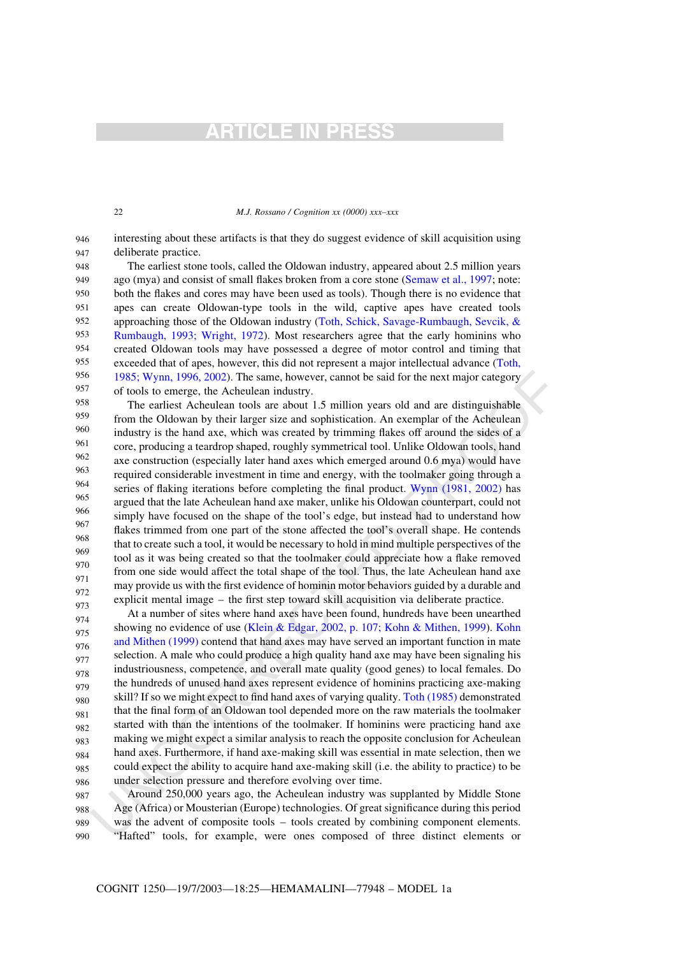### 22 M.J. Rossano / Cognition xx (0000) xxx–xxx

interesting about these artifacts is that they do suggest evidence of skill acquisition using deliberate practice. 946 947

The earliest stone tools, called the Oldowan industry, appeared about 2.5 million years ago (mya) and consist of small flakes broken from a core stone [\(Semaw et al., 1997;](#page-29-0) note: both the flakes and cores may have been used as tools). Though there is no evidence that apes can create Oldowan-type tools in the wild, captive apes have created tools approaching those of the Oldowan industry ([Toth, Schick, Savage-Rumbaugh, Sevcik, &](#page-29-0) [Rumbaugh, 1993; Wright, 1972](#page-29-0)). Most researchers agree that the early hominins who created Oldowan tools may have possessed a degree of motor control and timing that exceeded that of apes, however, this did not represent a major intellectual advance ([Toth,](#page-29-0) 1985; Wynn, 1996, 2002). The same, however, cannot be said for the next major category of tools to emerge, the Acheulean industry. 948 949 950 951 952 953 954 955 956 957

1985; Wynn, 1996; 2002). The same, however, cannot be said for the next major category<br>
to los to contrege, the Acheulean industry. I.5 million years old and are distinguishable<br>
The earliest Acheulean industry as a doom The earliest Acheulean tools are about 1.5 million years old and are distinguishable from the Oldowan by their larger size and sophistication. An exemplar of the Acheulean industry is the hand axe, which was created by trimming flakes off around the sides of a core, producing a teardrop shaped, roughly symmetrical tool. Unlike Oldowan tools, hand axe construction (especially later hand axes which emerged around 0.6 mya) would have required considerable investment in time and energy, with the toolmaker going through a series of flaking iterations before completing the final product. Wynn (1981, 2002) has argued that the late Acheulean hand axe maker, unlike his Oldowan counterpart, could not simply have focused on the shape of the tool's edge, but instead had to understand how flakes trimmed from one part of the stone affected the tool's overall shape. He contends that to create such a tool, it would be necessary to hold in mind multiple perspectives of the tool as it was being created so that the toolmaker could appreciate how a flake removed from one side would affect the total shape of the tool. Thus, the late Acheulean hand axe may provide us with the first evidence of hominin motor behaviors guided by a durable and explicit mental image – the first step toward skill acquisition via deliberate practice. 958 959 960 961 962 963 964 965 966 967 968 969 970 971 972 973

At a number of sites where hand axes have been found, hundreds have been unearthed showing no evidence of use (Klein & Edgar, 2002, p. 107; Kohn & Mithen, 1999). Kohn and Mithen (1999) contend that hand axes may have served an important function in mate selection. A male who could produce a high quality hand axe may have been signaling his industriousness, competence, and overall mate quality (good genes) to local females. Do the hundreds of unused hand axes represent evidence of hominins practicing axe-making skill? If so we might expect to find hand axes of varying quality. Toth (1985) demonstrated that the final form of an Oldowan tool depended more on the raw materials the toolmaker started with than the intentions of the toolmaker. If hominins were practicing hand axe making we might expect a similar analysis to reach the opposite conclusion for Acheulean hand axes. Furthermore, if hand axe-making skill was essential in mate selection, then we could expect the ability to acquire hand axe-making skill (i.e. the ability to practice) to be under selection pressure and therefore evolving over time. 974 975 976 977 978 **979** 980 981 982 983 984 985 986

Around 250,000 years ago, the Acheulean industry was supplanted by Middle Stone Age (Africa) or Mousterian (Europe) technologies. Of great significance during this period was the advent of composite tools – tools created by combining component elements. "Hafted" tools, for example, were ones composed of three distinct elements or 987 988 989 990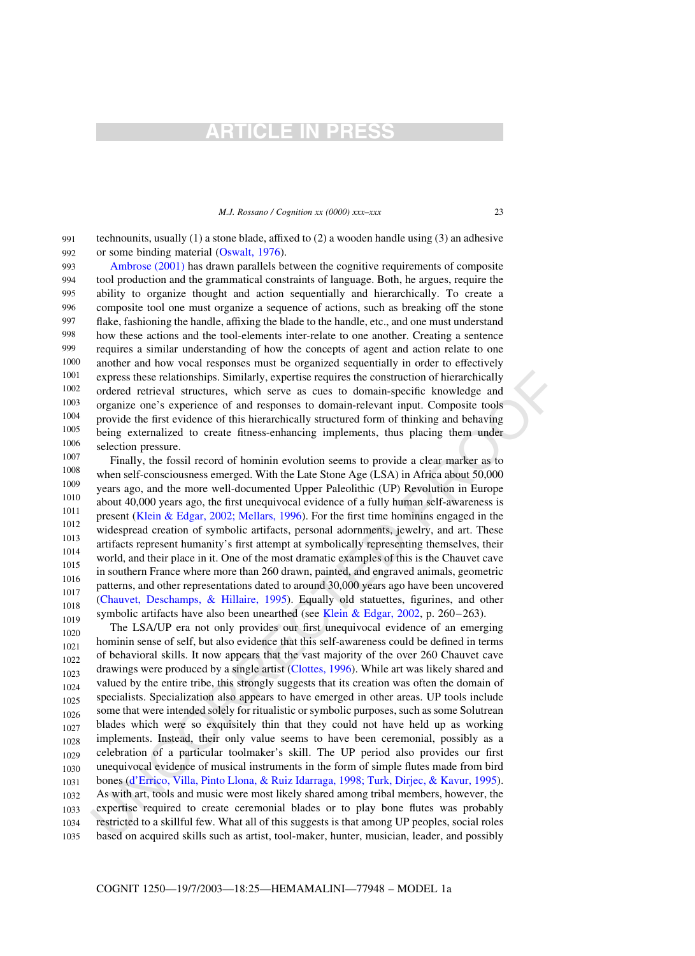#### M.J. Rossano / Cognition xx (0000) xxx–xxx 23

technounits, usually (1) a stone blade, affixed to (2) a wooden handle using (3) an adhesive or some binding material [\(Oswalt, 1976](#page-28-0)). 991 992

[Ambrose \(2001\)](#page-24-0) has drawn parallels between the cognitive requirements of composite tool production and the grammatical constraints of language. Both, he argues, require the ability to organize thought and action sequentially and hierarchically. To create a composite tool one must organize a sequence of actions, such as breaking off the stone flake, fashioning the handle, affixing the blade to the handle, etc., and one must understand how these actions and the tool-elements inter-relate to one another. Creating a sentence requires a similar understanding of how the concepts of agent and action relate to one another and how vocal responses must be organized sequentially in order to effectively express these relationships. Similarly, expertise requires the construction of hierarchically ordered retrieval structures, which serve as cues to domain-specific knowledge and organize one's experience of and responses to domain-relevant input. Composite tools provide the first evidence of this hierarchically structured form of thinking and behaving being externalized to create fitness-enhancing implements, thus placing them under selection pressure. 993 994 995 996 997 998 999 1000 1001 1002 1003 1004 1005 1006

Finally, the fossil record of hominin evolution seems to provide a clear marker as to when self-consciousness emerged. With the Late Stone Age (LSA) in Africa about 50,000 years ago, and the more well-documented Upper Paleolithic (UP) Revolution in Europe about 40,000 years ago, the first unequivocal evidence of a fully human self-awareness is present (Klein & Edgar, 2002; Mellars, 1996). For the first time hominins engaged in the widespread creation of symbolic artifacts, personal adornments, jewelry, and art. These artifacts represent humanity's first attempt at symbolically representing themselves, their world, and their place in it. One of the most dramatic examples of this is the Chauvet cave in southern France where more than 260 drawn, painted, and engraved animals, geometric patterns, and other representations dated to around 30,000 years ago have been uncovered (Chauvet, Deschamps, & Hillaire, 1995). Equally old statuettes, figurines, and other symbolic artifacts have also been unearthed (see Klein & Edgar, 2002, p. 260–263). 1007 1008 1009 1010 1011 1012 1013 1014 1015 1016 1017 1018 1019

express these relationships. Similarly, expertise requires the construction of hierarchically order<br>de constant structures, which serve as cuss to domain-specific have<br>object and organize one's experience of and responses The LSA/UP era not only provides our first unequivocal evidence of an emerging hominin sense of self, but also evidence that this self-awareness could be defined in terms of behavioral skills. It now appears that the vast majority of the over 260 Chauvet cave drawings were produced by a single artist (Clottes, 1996). While art was likely shared and valued by the entire tribe, this strongly suggests that its creation was often the domain of specialists. Specialization also appears to have emerged in other areas. UP tools include some that were intended solely for ritualistic or symbolic purposes, such as some Solutrean blades which were so exquisitely thin that they could not have held up as working implements. Instead, their only value seems to have been ceremonial, possibly as a celebration of a particular toolmaker's skill. The UP period also provides our first unequivocal evidence of musical instruments in the form of simple flutes made from bird bones (d'Errico, Villa, Pinto Llona, & Ruiz Idarraga, 1998; Turk, Dirjec, & Kavur, 1995). As with art, tools and music were most likely shared among tribal members, however, the expertise required to create ceremonial blades or to play bone flutes was probably restricted to a skillful few. What all of this suggests is that among UP peoples, social roles based on acquired skills such as artist, tool-maker, hunter, musician, leader, and possibly 1020 1021 1022 1023 1024 1025 1026 1027 1028 1029 1030 1031 1032 1033 1034 1035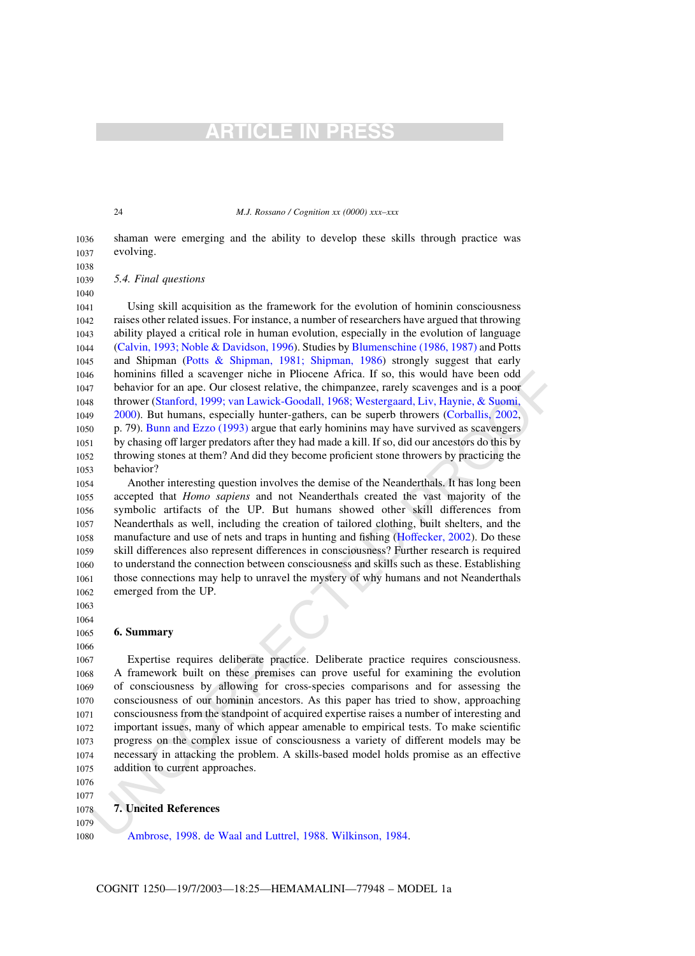# TICI F IN

### 24 M.J. Rossano / Cognition xx (0000) xxx–xxx

shaman were emerging and the ability to develop these skills through practice was evolving. 1036 1037

5.4. Final questions 1039

Using skill acquisition as the framework for the evolution of hominin consciousness raises other related issues. For instance, a number of researchers have argued that throwing ability played a critical role in human evolution, especially in the evolution of language ([Calvin, 1993; Noble & Davidson, 1996\)](#page-24-0). Studies by [Blumenschine \(1986, 1987\)](#page-24-0) and Potts and Shipman [\(Potts & Shipman, 1981; Shipman, 1986\)](#page-28-0) strongly suggest that early hominins filled a scavenger niche in Pliocene Africa. If so, this would have been odd behavior for an ape. Our closest relative, the chimpanzee, rarely scavenges and is a poor thrower (Stanford, 1999; van Lawick-Goodall, 1968; Westergaard, Liv, Haynie, & Suomi, 2000). But humans, especially hunter-gathers, can be superb throwers (Corballis, 2002, p. 79). Bunn and Ezzo (1993) argue that early hominins may have survived as scavengers by chasing off larger predators after they had made a kill. If so, did our ancestors do this by throwing stones at them? And did they become proficient stone throwers by practicing the behavior? 1041 1042 1043 1044 1045 1046 1047 1048 1049 1050 1051 1052 1053

Another interesting question involves the demise of the Neanderthals. It has long been accepted that Homo sapiens and not Neanderthals created the vast majority of the symbolic artifacts of the UP. But humans showed other skill differences from Neanderthals as well, including the creation of tailored clothing, built shelters, and the manufacture and use of nets and traps in hunting and fishing (Hoffecker, 2002). Do these skill differences also represent differences in consciousness? Further research is required to understand the connection between consciousness and skills such as these. Establishing those connections may help to unravel the mystery of why humans and not Neanderthals emerged from the UP. 1054 1055 1056 1057 1058 1059 1060 1061 1062

1063 1064 1065

1066

### 6. Summary

6 Ionnins filled a scavenger nichci in Plioene Africa. If  $s$ o, this would have been developed the matrix of canone of carrotter (starting). The<br>above constrained 1999; van Lawick-Goodal. 1968; Westergaard, Liv Haynie, & Expertise requires deliberate practice. Deliberate practice requires consciousness. A framework built on these premises can prove useful for examining the evolution of consciousness by allowing for cross-species comparisons and for assessing the consciousness of our hominin ancestors. As this paper has tried to show, approaching consciousness from the standpoint of acquired expertise raises a number of interesting and important issues, many of which appear amenable to empirical tests. To make scientific progress on the complex issue of consciousness a variety of different models may be necessary in attacking the problem. A skills-based model holds promise as an effective addition to current approaches. 1067 1068 1069 1070 1071 1072 1073 1074 1075

1076 1077

7. Uncited References

1078 1079

1080

[Ambrose, 1998](#page-24-0). [de Waal and Luttrel, 1988.](#page-25-0) [Wilkinson, 1984](#page-29-0).

1038

1040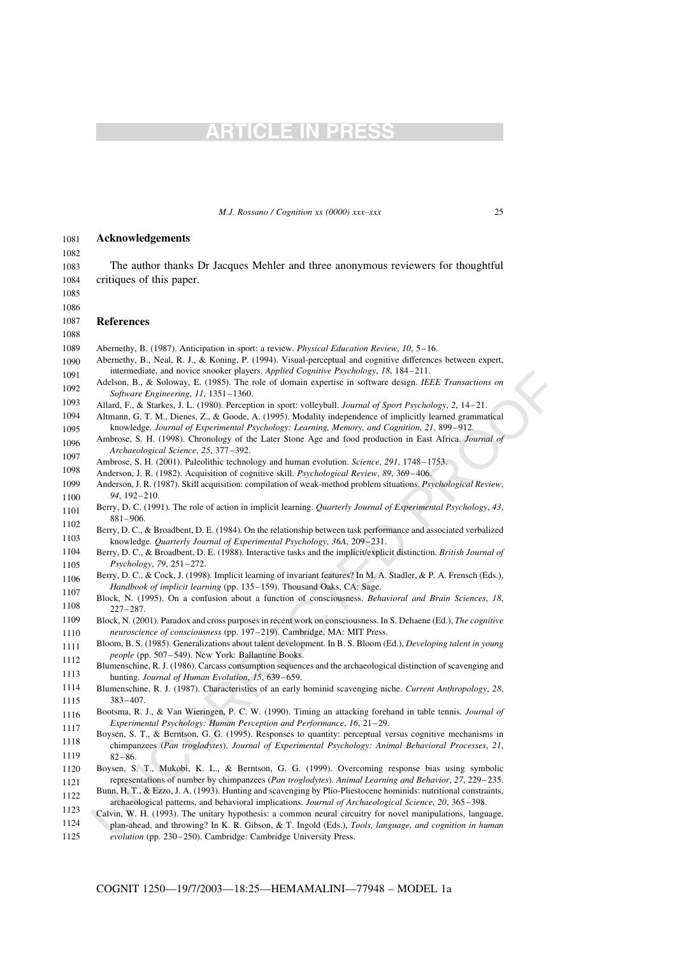## <span id="page-24-0"></span>TICI F IN P

M.J. Rossano / Cognition xx (0000) xxx–xxx 25

#### Acknowledgements 1081

1082

1085

The author thanks Dr Jacques Mehler and three anonymous reviewers for thoughtful critiques of this paper. 1083 1084

1086

#### References 1087

1088

- Abernethy, B. (1987). Anticipation in sport: a review. Physical Education Review, 10, 5–16. 1089
- Abernethy, B., Neal, R. J., & Koning, P. (1994). Visual-perceptual and cognitive differences between expert, intermediate, and novice snooker players. Applied Cognitive Psychology, 18, 184–211. 1090 1091
- Adelson, B., & Soloway, E. (1985). The role of domain expertise in software design. IEEE Transactions on Software Engineering, 11, 1351–1360. 1092
- Allard, F., & Starkes, J. L. (1980). Perception in sport: volleyball. Journal of Sport Psychology, 2, 14–21. 1093
- Altmann, G. T. M., Dienes, Z., & Goode, A. (1995). Modality independence of implicitly learned grammatical knowledge. Journal of Experimental Psychology: Learning, Memory, and Cognition, 21, 899–912. 1094 1095
- Ambrose, S. H. (1998). Chronology of the Later Stone Age and food production in East Africa. Journal of Archaeological Science, 25, 377–392. 1096 1097
- Ambrose, S. H. (2001). Paleolithic technology and human evolution. Science, 291, 1748–1753.
- Anderson, J. R. (1982). Acquisition of cognitive skill. Psychological Review, 89, 369–406. 1098
- Anderson, J. R. (1987). Skill acquisition: compilation of weak-method problem situations. *Psychological Review*, 94, 192–210. 1099 1100
- Berry, D. C. (1991). The role of action in implicit learning. *Quarterly Journal of Experimental Psychology*, 43, 881–906. 1101 1102
- Berry, D. C., & Broadbent, D. E. (1984). On the relationship between task performance and associated verbalized knowledge. Quarterly Journal of Experimental Psychology, 36A, 209–231. 1103
- Berry, D. C., & Broadbent, D. E. (1988). Interactive tasks and the implicit/explicit distinction. British Journal of Psychology, 79, 251–272. 1104 1105
- Berry, D. C., & Cock, J. (1998). Implicit learning of invariant features? In M. A. Stadler, & P. A. Frensch (Eds.), Handbook of implicit learning (pp. 135–159). Thousand Oaks, CA: Sage. 1106 1107
- Block, N. (1995). On a confusion about a function of consciousness. Behavioral and Brain Sciences, 18, 227–287. 1108
- Block, N. (2001). Paradox and cross purposes in recent work on consciousness. In S. Dehaene (Ed.), The cognitive neuroscience of consciousness (pp. 197–219). Cambridge, MA: MIT Press. 1109 1110
- Bloom, B. S. (1985). Generalizations about talent development. In B. S. Bloom (Ed.), Developing talent in young people (pp. 507–549). New York: Ballantine Books. 1111 1112
- Blumenschine, R. J. (1986). Carcass consumption sequences and the archaeological distinction of scavenging and hunting. Journal of Human Evolution, 15, 639–659. 1113
- Blumenschine, R. J. (1987). Characteristics of an early hominid scavenging niche. Current Anthropology, 28, 383–407. 1114 1115
- Bootsma, R. J., & Van Wieringen, P. C. W. (1990). Timing an attacking forehand in table tennis. Journal of Experimental Psychology: Human Perception and Performance, 16, 21–29. 1116 1117
- intermediate, and horizon estable hologon Applied Copitine Psychotey, P. [143-21].<br>
Mathon, B., & Soloway, E. (1985). The role of domain experies in software design. IEEE Transactions on<br>
Adian, F., & States, J. (1998). P Boysen, S. T., & Berntson, G. G. (1995). Responses to quantity: perceptual versus cognitive mechanisms in chimpanzees (Pan troglodytes). Journal of Experimental Psychology: Animal Behavioral Processes, 21,  $82 - 86$ 1118 1119
- Boysen, S. T., Mukobi, K. L., & Berntson, G. G. (1999). Overcoming response bias using symbolic representations of number by chimpanzees (Pan troglodytes). Animal Learning and Behavior, 27, 229–235. 1120 1121
- Bunn, H. T., & Ezzo, J. A. (1993). Hunting and scavenging by Plio-Pliestocene hominids: nutritional constraints, archaeological patterns, and behavioral implications. Journal of Archaeological Science, 20, 365–398. 1122
- Calvin, W. H. (1993). The unitary hypothesis: a common neural circuitry for novel manipulations, language, 1123
- plan-ahead, and throwing? In K. R. Gibson, & T. Ingold (Eds.), Tools, language, and cognition in human evolution (pp. 230–250). Cambridge: Cambridge University Press. 1124 1125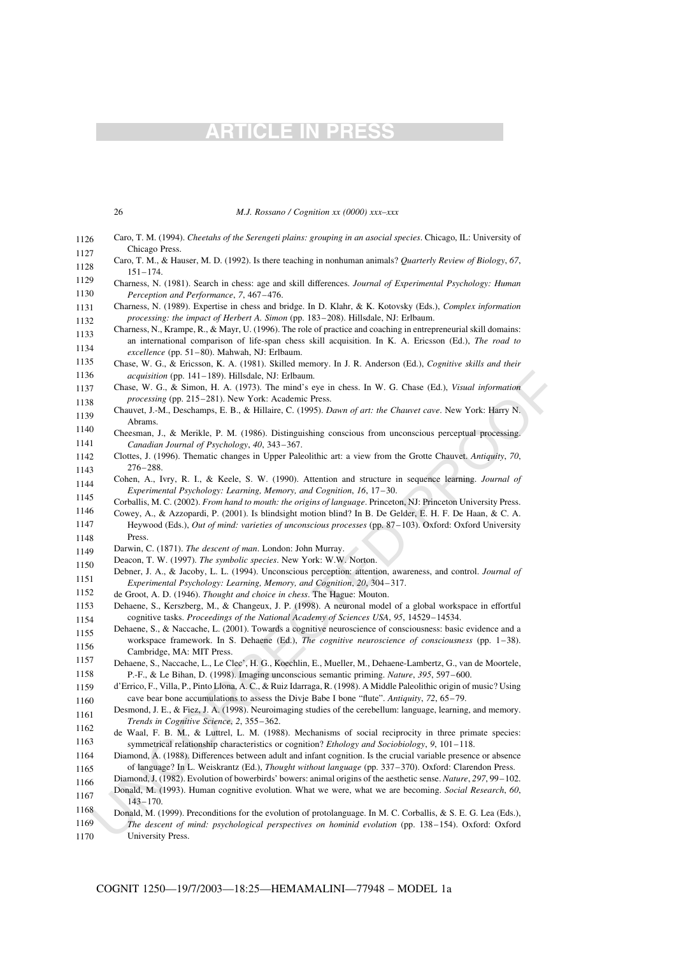## ARTICLE IN PRESS

<span id="page-25-0"></span>26 M.J. Rossano / Cognition xx (0000) xxx–xxx

- Caro, T. M. (1994). Cheetahs of the Serengeti plains: grouping in an asocial species. Chicago, IL: University of Chicago Press. 1126 1127
- Caro, T. M., & Hauser, M. D. (1992). Is there teaching in nonhuman animals? Quarterly Review of Biology, 67, 151–174. 1128
- Charness, N. (1981). Search in chess: age and skill differences. Journal of Experimental Psychology: Human Perception and Performance, 7, 467–476. 1129 1130
- Charness, N. (1989). Expertise in chess and bridge. In D. Klahr, & K. Kotovsky (Eds.), Complex information processing: the impact of Herbert A. Simon (pp. 183–208). Hillsdale, NJ: Erlbaum. 1131 1132
- Charness, N., Krampe, R., & Mayr, U. (1996). The role of practice and coaching in entrepreneurial skill domains: an international comparison of life-span chess skill acquisition. In K. A. Ericsson (Ed.), The road to excellence (pp. 51–80). Mahwah, NJ: Erlbaum. 1133 1134
- Chase, W. G., & Ericsson, K. A. (1981). Skilled memory. In J. R. Anderson (Ed.), Cognitive skills and their acquisition (pp. 141–189). Hillsdale, NJ: Erlbaum. 1135 1136
- Chase, W. G., & Simon, H. A. (1973). The mind's eye in chess. In W. G. Chase (Ed.), Visual information processing (pp. 215–281). New York: Academic Press. 1137 1138
- Chauvet, J.-M., Deschamps, E. B., & Hillaire, C. (1995). Dawn of art: the Chauvet cave. New York: Harry N. Abrams. 1139
- Cheesman, J., & Merikle, P. M. (1986). Distinguishing conscious from unconscious perceptual processing. Canadian Journal of Psychology, 40, 343–367. 1140 1141
- Clottes, J. (1996). Thematic changes in Upper Paleolithic art: a view from the Grotte Chauvet. Antiquity, 70, 276–288. 1142 1143
- Cohen, A., Ivry, R. I., & Keele, S. W. (1990). Attention and structure in sequence learning. Journal of Experimental Psychology: Learning, Memory, and Cognition, 16, 17–30. 1144 1145
- Corballis, M. C. (2002). From hand to mouth: the origins of language. Princeton, NJ: Princeton University Press. 1146
- 6<br>
accousting trps 141-1893). Hillingthe, N. Erbann,<br>
2 Chance, W. G., & Simon, H. A. (1973). The mind's cye in chess. In W. G. Chase (Ed.), Virual information<br>
3 Denomina, H. A. (1975). The mind's cye in chess, In W. G. Cowey, A., & Azzopardi, P. (2001). Is blindsight motion blind? In B. De Gelder, E. H. F. De Haan, & C. A. Heywood (Eds.), Out of mind: varieties of unconscious processes (pp. 87-103). Oxford: Oxford University Press. 1147 1148
- Darwin, C. (1871). The descent of man. London: John Murray. 1149
- Deacon, T. W. (1997). The symbolic species. New York: W.W. Norton. 1150
- Debner, J. A., & Jacoby, L. L. (1994). Unconscious perception: attention, awareness, and control. Journal of Experimental Psychology: Learning, Memory, and Cognition, 20, 304–317. 1151
- de Groot, A. D. (1946). Thought and choice in chess. The Hague: Mouton. 1152
- Dehaene, S., Kerszberg, M., & Changeux, J. P. (1998). A neuronal model of a global workspace in effortful cognitive tasks. Proceedings of the National Academy of Sciences USA, 95, 14529–14534. 1153 1154
- Dehaene, S., & Naccache, L. (2001). Towards a cognitive neuroscience of consciousness: basic evidence and a workspace framework. In S. Dehaene (Ed.), *The cognitive neuroscience of consciousness* (pp. 1–38). Cambridge, MA: MIT Press. 1155 1156
- Dehaene, S., Naccache, L., Le Clec', H. G., Koechlin, E., Mueller, M., Dehaene-Lambertz, G., van de Moortele, P.-F., & Le Bihan, D. (1998). Imaging unconscious semantic priming. Nature, 395, 597–600. 1157 1158
- d'Errico, F., Villa, P., Pinto Llona, A. C., & Ruiz Idarraga, R. (1998). A Middle Paleolithic origin of music? Using cave bear bone accumulations to assess the Divje Babe I bone "flute". Antiquity, 72, 65–79. 1159 1160
- Desmond, J. E., & Fiez, J. A. (1998). Neuroimaging studies of the cerebellum: language, learning, and memory. Trends in Cognitive Science, 2, 355–362. 1161 1162
- de Waal, F. B. M., & Luttrel, L. M. (1988). Mechanisms of social reciprocity in three primate species: symmetrical relationship characteristics or cognition? Ethology and Sociobiology, 9, 101–118. 1163
- Diamond, A. (1988). Differences between adult and infant cognition. Is the crucial variable presence or absence of language? In L. Weiskrantz (Ed.), Thought without language (pp. 337–370). Oxford: Clarendon Press. 1164 1165
- Diamond, J. (1982). Evolution of bowerbirds' bowers: animal origins of the aesthetic sense. Nature, 297, 99–102. 1166
- Donald, M. (1993). Human cognitive evolution. What we were, what we are becoming. Social Research, 60, 143–170. 1167
- Donald, M. (1999). Preconditions for the evolution of protolanguage. In M. C. Corballis, & S. E. G. Lea (Eds.), 1168
- The descent of mind: psychological perspectives on hominid evolution (pp. 138–154). Oxford: Oxford University Press. 1169 1170

COGNIT 1250—19/7/2003—18:25—HEMAMALINI—77948 – MODEL 1a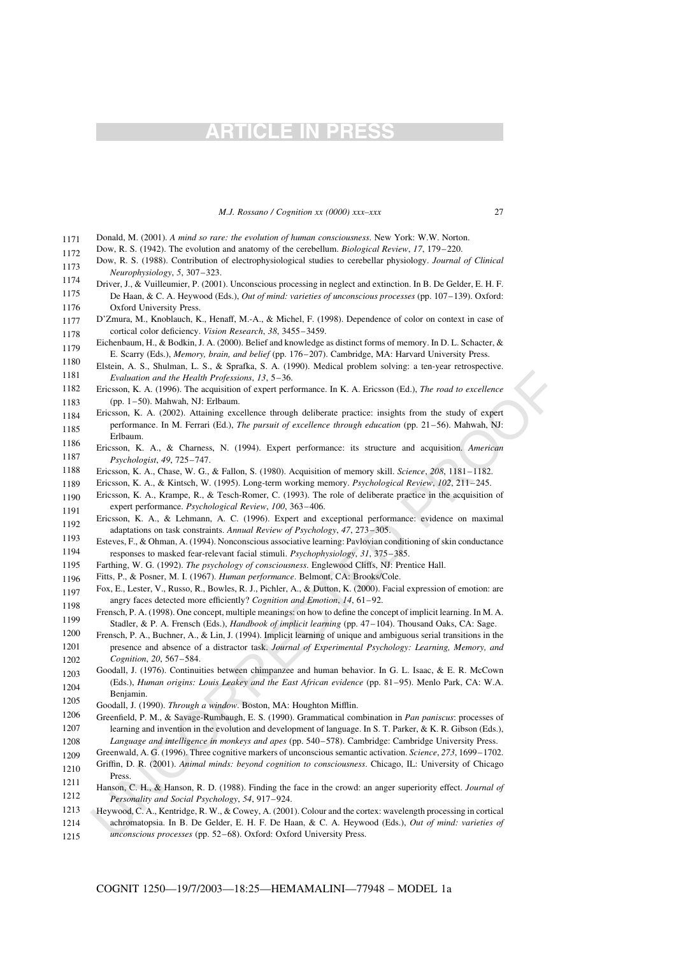#### M.J. Rossano / Cognition xx (0000) xxx–xxx 27

- <span id="page-26-0"></span>Donald, M. (2001). A mind so rare: the evolution of human consciousness. New York: W.W. Norton. 1171
- Dow, R. S. (1942). The evolution and anatomy of the cerebellum. *Biological Review*, 17, 179–220. 1172
- Dow, R. S. (1988). Contribution of electrophysiological studies to cerebellar physiology. Journal of Clinical Neurophysiology, 5, 307–323. 1173
- Driver, J., & Vuilleumier, P. (2001). Unconscious processing in neglect and extinction. In B. De Gelder, E. H. F. De Haan, & C. A. Heywood (Eds.), Out of mind: varieties of unconscious processes (pp. 107-139). Oxford: Oxford University Press. 1174 1175 1176
- D'Zmura, M., Knoblauch, K., Henaff, M.-A., & Michel, F. (1998). Dependence of color on context in case of cortical color deficiency. Vision Research, 38, 3455–3459. 1177 1178
- Eichenbaum, H., & Bodkin, J. A. (2000). Belief and knowledge as distinct forms of memory. In D. L. Schacter, & E. Scarry (Eds.), Memory, brain, and belief (pp. 176–207). Cambridge, MA: Harvard University Press. 1179
- Elstein, A. S., Shulman, L. S., & Sprafka, S. A. (1990). Medical problem solving: a ten-year retrospective. Evaluation and the Health Professions, 13, 5–36. 1180 1181
- Ericsson, K. A. (1996). The acquisition of expert performance. In K. A. Ericsson (Ed.), The road to excellence (pp. 1–50). Mahwah, NJ: Erlbaum. 1182 1183
- Ericsson, K. A. (2002). Attaining excellence through deliberate practice: insights from the study of expert performance. In M. Ferrari (Ed.), The pursuit of excellence through education (pp. 21–56). Mahwah, NJ: Erlbaum. 1184 1185 1186
- Ericsson, K. A., & Charness, N. (1994). Expert performance: its structure and acquisition. American Psychologist, 49, 725–747. 1187
- Ericsson, K. A., Chase, W. G., & Fallon, S. (1980). Acquisition of memory skill. Science, 208, 1181–1182. 1188
- Ericsson, K. A., & Kintsch, W. (1995). Long-term working memory. Psychological Review, 102, 211–245. 1189
- Ericsson, K. A., Krampe, R., & Tesch-Romer, C. (1993). The role of deliberate practice in the acquisition of expert performance. Psychological Review, 100, 363–406. 1190 1191
- Ericsson, K. A., & Lehmann, A. C. (1996). Expert and exceptional performance: evidence on maximal adaptations on task constraints. Annual Review of Psychology, 47, 273–305. 1192
- Esteves, F., & Ohman, A. (1994). Nonconscious associative learning: Pavlovian conditioning of skin conductance responses to masked fear-relevant facial stimuli. Psychophysiology, 31, 375–385. 1193 1194
- Farthing, W. G. (1992). The psychology of consciousness. Englewood Cliffs, NJ: Prentice Hall. 1195
- Fitts, P., & Posner, M. I. (1967). Human performance. Belmont, CA: Brooks/Cole. 1196
- Fox, E., Lester, V., Russo, R., Bowles, R. J., Pichler, A., & Dutton, K. (2000). Facial expression of emotion: are angry faces detected more efficiently? Cognition and Emotion, 14, 61–92. 1197 1198
- Frensch, P. A. (1998). One concept, multiple meanings: on how to define the concept of implicit learning. In M. A. Stadler, & P. A. Frensch (Eds.), Handbook of implicit learning (pp. 47–104). Thousand Oaks, CA: Sage. 1199
- Frensch, P. A., Buchner, A., & Lin, J. (1994). Implicit learning of unique and ambiguous serial transitions in the presence and absence of a distractor task. Journal of Experimental Psychology: Learning, Memory, and Cognition, 20, 567–584. 1200 1201 1202
- Examine and the Readity Proposition, 13, 45-86.<br>
Firstsom R. A. (1996). The acquisition of experimentation at K. A. Triessam R. A. (1996). The acquisition of experimentes in K. A. Triessam R. K. a. (1997). Attending excel Goodall, J. (1976). Continuities between chimpanzee and human behavior. In G. L. Isaac, & E. R. McCown (Eds.), Human origins: Louis Leakey and the East African evidence (pp. 81–95). Menlo Park, CA: W.A. Benjamin. 1203 1204 1205
- Goodall, J. (1990). Through a window. Boston, MA: Houghton Mifflin.
- Greenfield, P. M., & Savage-Rumbaugh, E. S. (1990). Grammatical combination in Pan paniscus: processes of learning and invention in the evolution and development of language. In S. T. Parker, & K. R. Gibson (Eds.), Language and intelligence in monkeys and apes (pp. 540–578). Cambridge: Cambridge University Press. 1206 1207 1208
- Greenwald, A. G. (1996). Three cognitive markers of unconscious semantic activation. Science, 273, 1699–1702. Griffin, D. R. (2001). Animal minds: beyond cognition to consciousness. Chicago, IL: University of Chicago Press. 1209 1210
- Hanson, C. H., & Hanson, R. D. (1988). Finding the face in the crowd: an anger superiority effect. Journal of Personality and Social Psychology, 54, 917–924. 1211 1212
- Heywood, C. A., Kentridge, R. W., & Cowey, A. (2001). Colour and the cortex: wavelength processing in cortical achromatopsia. In B. De Gelder, E. H. F. De Haan, & C. A. Heywood (Eds.), Out of mind: varieties of 1213 1214
- unconscious processes (pp. 52–68). Oxford: Oxford University Press. 1215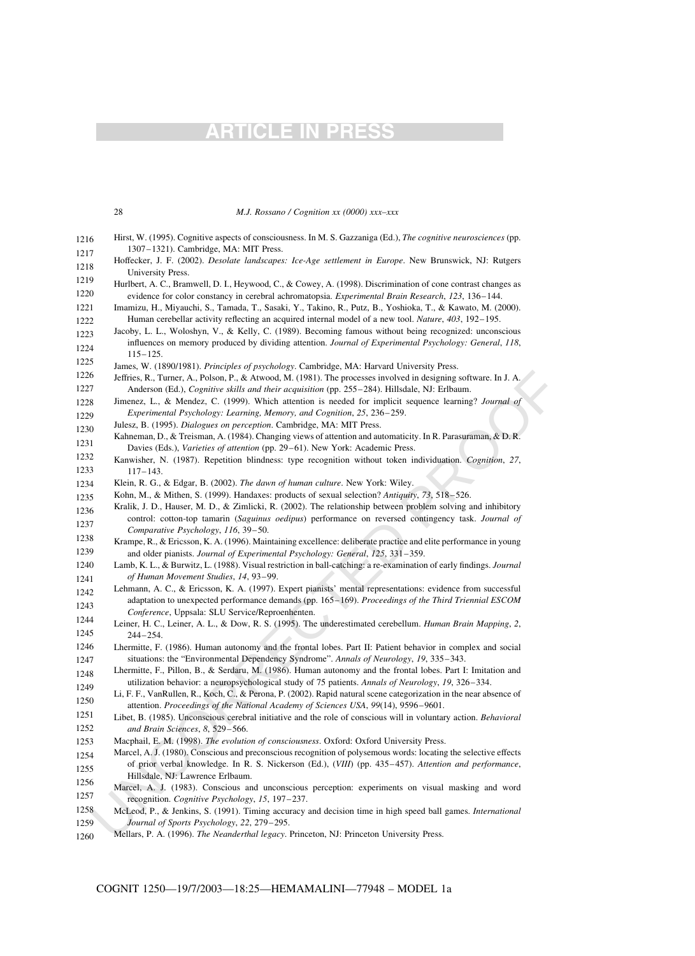#### <span id="page-27-0"></span>28 M.J. Rossano / Cognition xx (0000) xxx–xxx

- Hirst, W. (1995). Cognitive aspects of consciousness. In M. S. Gazzaniga (Ed.), The cognitive neurosciences (pp. 1307–1321). Cambridge, MA: MIT Press. 1216 1217
- Hoffecker, J. F. (2002). Desolate landscapes: Ice-Age settlement in Europe. New Brunswick, NJ: Rutgers University Press. 1218
- Hurlbert, A. C., Bramwell, D. I., Heywood, C., & Cowey, A. (1998). Discrimination of cone contrast changes as evidence for color constancy in cerebral achromatopsia. Experimental Brain Research, 123, 136–144. 1219 1220
- Imamizu, H., Miyauchi, S., Tamada, T., Sasaki, Y., Takino, R., Putz, B., Yoshioka, T., & Kawato, M. (2000). Human cerebellar activity reflecting an acquired internal model of a new tool. Nature, 403, 192–195. 1221 1222
- Jacoby, L. L., Woloshyn, V., & Kelly, C. (1989). Becoming famous without being recognized: unconscious influences on memory produced by dividing attention. Journal of Experimental Psychology: General, 118, 115–125. 1223 1224
- James, W. (1890/1981). Principles of psychology. Cambridge, MA: Harvard University Press. 1225
- Jeffries, R., Turner, A., Polson, P., & Atwood, M. (1981). The processes involved in designing software. In J. A. Anderson (Ed.), Cognitive skills and their acquisition (pp. 255-284). Hillsdale, NJ: Erlbaum. 1226 1227
- Jimenez, L., & Mendez, C. (1999). Which attention is needed for implicit sequence learning? Journal of Experimental Psychology: Learning, Memory, and Cognition, 25, 236–259. 1228 1229
- Julesz, B. (1995). Dialogues on perception. Cambridge, MA: MIT Press. 1230
- Kahneman, D., & Treisman, A. (1984). Changing views of attention and automaticity. In R. Parasuraman, & D. R. Davies (Eds.), Varieties of attention (pp. 29–61). New York: Academic Press. 1231
- Kanwisher, N. (1987). Repetition blindness: type recognition without token individuation. Cognition, 27, 117–143. 1232 1233
- Klein, R. G., & Edgar, B. (2002). The dawn of human culture. New York: Wiley. 1234
- Kohn, M., & Mithen, S. (1999). Handaxes: products of sexual selection? Antiquity, 73, 518–526. 1235
- Kralik, J. D., Hauser, M. D., & Zimlicki, R. (2002). The relationship between problem solving and inhibitory control: cotton-top tamarin (Saguinus oedipus) performance on reversed contingency task. Journal of Comparative Psychology, 116, 39–50. 1236 1237
- Krampe, R., & Ericsson, K. A. (1996). Maintaining excellence: deliberate practice and elite performance in young and older pianists. Journal of Experimental Psychology: General, 125, 331–359. 1238 1239
- Lamb, K. L., & Burwitz, L. (1988). Visual restriction in ball-catching: a re-examination of early findings. Journal of Human Movement Studies, 14, 93–99. 1240 1241
- Lehmann, A. C., & Ericsson, K. A. (1997). Expert pianists' mental representations: evidence from successful adaptation to unexpected performance demands (pp. 165–169). Proceedings of the Third Triennial ESCOM Conference, Uppsala: SLU Service/Reproenhenten. 1242 1243 1244
- Leiner, H. C., Leiner, A. L., & Dow, R. S. (1995). The underestimated cerebellum. Human Brain Mapping, 2, 244–254. 1245
- Lhermitte, F. (1986). Human autonomy and the frontal lobes. Part II: Patient behavior in complex and social situations: the "Environmental Dependency Syndrome". Annals of Neurology, 19, 335–343. 1246 1247
- Lhermitte, F., Pillon, B., & Serdaru, M. (1986). Human autonomy and the frontal lobes. Part I: Imitation and utilization behavior: a neuropsychological study of 75 patients. Annals of Neurology, 19, 326–334. 1248 1249
- Li, F. F., VanRullen, R., Koch, C., & Perona, P. (2002). Rapid natural scene categorization in the near absence of attention. Proceedings of the National Academy of Sciences USA, 99(14), 9596–9601. 1250
- Libet, B. (1985). Unconscious cerebral initiative and the role of conscious will in voluntary action. Behavioral and Brain Sciences, 8, 529–566. 1251 1252
- Macphail, E. M. (1998). The evolution of consciousness. Oxford: Oxford University Press. 1253
- 6 Entima, R. Tumac, A., Polson, P. & Arrocol, U.G. 1973. The precesses involved in classing serbes and the state of the transition (ii) The preceding of the state of the state of the state of the state of the state of the Marcel, A. J. (1980). Conscious and preconscious recognition of polysemous words: locating the selective effects of prior verbal knowledge. In R. S. Nickerson (Ed.), (VIII) (pp. 435–457). Attention and performance, Hillsdale, NJ: Lawrence Erlbaum. 1254 1255 1256
- Marcel, A. J. (1983). Conscious and unconscious perception: experiments on visual masking and word recognition. Cognitive Psychology, 15, 197–237. 1257
- McLeod, P., & Jenkins, S. (1991). Timing accuracy and decision time in high speed ball games. International Journal of Sports Psychology, 22, 279–295. 1258 1259
- Mellars, P. A. (1996). The Neanderthal legacy. Princeton, NJ: Princeton University Press. 1260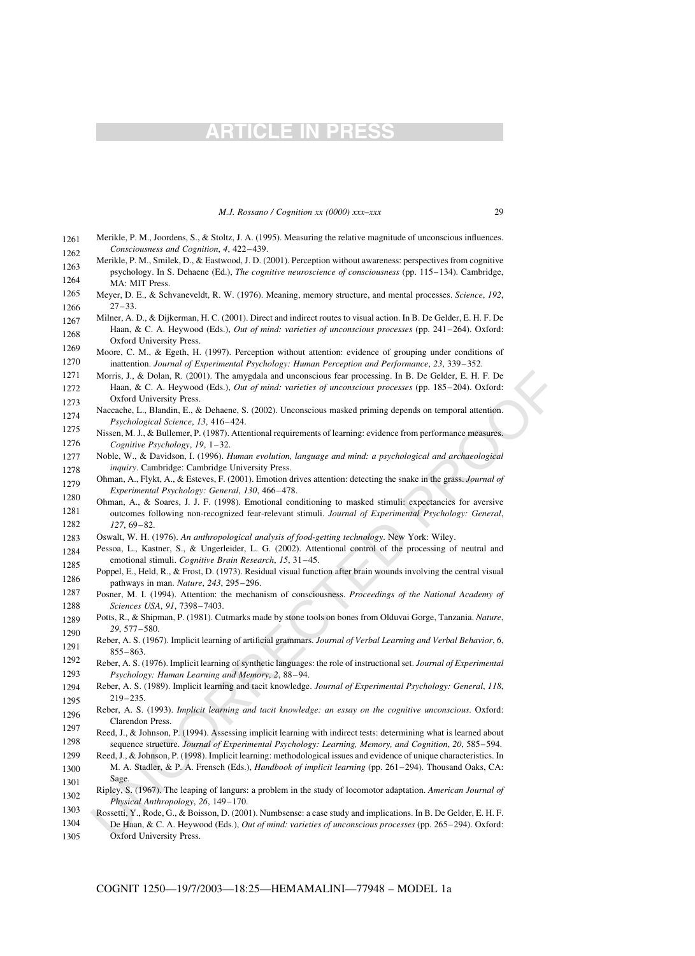## <span id="page-28-0"></span>TICLE IN PRES

#### M.J. Rossano / Cognition xx (0000) xxx–xxx 29

Merikle, P. M., Joordens, S., & Stoltz, J. A. (1995). Measuring the relative magnitude of unconscious influences.

Merikle, P. M., Smilek, D., & Eastwood, J. D. (2001). Perception without awareness: perspectives from cognitive psychology. In S. Dehaene (Ed.), The cognitive neuroscience of consciousness (pp. 115–134). Cambridge,

Consciousness and Cognition, 4, 422–439.

1261 1262 1263

| 1264 | ິ<br>MA: MIT Press.                                                                                                                                                           |   |
|------|-------------------------------------------------------------------------------------------------------------------------------------------------------------------------------|---|
| 1265 | Meyer, D. E., & Schvaneveldt, R. W. (1976). Meaning, memory structure, and mental processes. Science, 192,                                                                    |   |
| 1266 | $27 - 33.$                                                                                                                                                                    |   |
| 1267 | Milner, A. D., & Dijkerman, H. C. (2001). Direct and indirect routes to visual action. In B. De Gelder, E. H. F. De                                                           |   |
| 1268 | Haan, & C. A. Heywood (Eds.), Out of mind: varieties of unconscious processes (pp. 241-264). Oxford:                                                                          |   |
| 1269 | Oxford University Press.                                                                                                                                                      |   |
| 1270 | Moore, C. M., & Egeth, H. (1997). Perception without attention: evidence of grouping under conditions of                                                                      |   |
|      | inattention. Journal of Experimental Psychology: Human Perception and Performance, 23, 339–352.                                                                               |   |
| 1271 | Morris, J., & Dolan, R. (2001). The amygdala and unconscious fear processing. In B. De Gelder, E. H. F. De                                                                    |   |
| 1272 | Haan, & C. A. Heywood (Eds.), Out of mind: varieties of unconscious processes (pp. 185-204). Oxford:<br>Oxford University Press.                                              | X |
| 1273 | Naccache, L., Blandin, E., & Dehaene, S. (2002). Unconscious masked priming depends on temporal attention.                                                                    |   |
| 1274 | Psychological Science, 13, 416-424.                                                                                                                                           |   |
| 1275 | Nissen, M. J., & Bullemer, P. (1987). Attentional requirements of learning: evidence from performance measures.                                                               |   |
| 1276 | Cognitive Psychology, 19, 1-32.                                                                                                                                               |   |
| 1277 | Noble, W., & Davidson, I. (1996). Human evolution, language and mind: a psychological and archaeological                                                                      |   |
| 1278 | inquiry. Cambridge: Cambridge University Press.                                                                                                                               |   |
| 1279 | Ohman, A., Flykt, A., & Esteves, F. (2001). Emotion drives attention: detecting the snake in the grass. Journal of                                                            |   |
|      | Experimental Psychology: General, 130, 466-478.                                                                                                                               |   |
| 1280 | Ohman, A., & Soares, J. J. F. (1998). Emotional conditioning to masked stimuli: expectancies for aversive                                                                     |   |
| 1281 | outcomes following non-recognized fear-relevant stimuli. Journal of Experimental Psychology: General,                                                                         |   |
| 1282 | $127, 69 - 82.$                                                                                                                                                               |   |
| 1283 | Oswalt, W. H. (1976). An anthropological analysis of food-getting technology. New York: Wiley.                                                                                |   |
| 1284 | Pessoa, L., Kastner, S., & Ungerleider, L. G. (2002). Attentional control of the processing of neutral and                                                                    |   |
| 1285 | emotional stimuli. Cognitive Brain Research, 15, 31-45.<br>Poppel, E., Held, R., & Frost, D. (1973). Residual visual function after brain wounds involving the central visual |   |
| 1286 | pathways in man. Nature, 243, 295-296.                                                                                                                                        |   |
| 1287 | Posner, M. I. (1994). Attention: the mechanism of consciousness. Proceedings of the National Academy of                                                                       |   |
| 1288 | Sciences USA, 91, 7398-7403.                                                                                                                                                  |   |
| 1289 | Potts, R., & Shipman, P. (1981). Cutmarks made by stone tools on bones from Olduvai Gorge, Tanzania. Nature,                                                                  |   |
| 1290 | 29, 577-580.                                                                                                                                                                  |   |
| 1291 | Reber, A. S. (1967). Implicit learning of artificial grammars. Journal of Verbal Learning and Verbal Behavior, 6,                                                             |   |
|      | $855 - 863.$                                                                                                                                                                  |   |
| 1292 | Reber, A. S. (1976). Implicit learning of synthetic languages: the role of instructional set. Journal of Experimental                                                         |   |
| 1293 | Psychology: Human Learning and Memory, 2, 88-94.                                                                                                                              |   |
| 1294 | Reber, A. S. (1989). Implicit learning and tacit knowledge. Journal of Experimental Psychology: General, 118,                                                                 |   |
| 1295 | $219 - 235.$<br>Reber, A. S. (1993). Implicit learning and tacit knowledge: an essay on the cognitive unconscious. Oxford:                                                    |   |
| 1296 | Clarendon Press.                                                                                                                                                              |   |
| 1297 | Reed, J., & Johnson, P. (1994). Assessing implicit learning with indirect tests: determining what is learned about                                                            |   |
| 1298 | sequence structure. Journal of Experimental Psychology: Learning, Memory, and Cognition, 20, 585–594.                                                                         |   |
| 1299 | Reed, J., & Johnson, P. (1998). Implicit learning: methodological issues and evidence of unique characteristics. In                                                           |   |
| 1300 | M. A. Stadler, & P. A. Frensch (Eds.), <i>Handbook of implicit learning</i> (pp. 261–294). Thousand Oaks, CA:                                                                 |   |
| 1301 | Sage.                                                                                                                                                                         |   |
| 1302 | Ripley, S. (1967). The leaping of langurs: a problem in the study of locomotor adaptation. American Journal of                                                                |   |
|      | Physical Anthropology, 26, 149-170.                                                                                                                                           |   |
| 1303 | Rossetti, Y., Rode, G., & Boisson, D. (2001). Numbsense: a case study and implications. In B. De Gelder, E. H. F.                                                             |   |
| 1304 | De Haan, & C. A. Heywood (Eds.), Out of mind: varieties of unconscious processes (pp. 265–294). Oxford:                                                                       |   |
| 1305 | Oxford University Press.                                                                                                                                                      |   |

- Reber, A. S. (1989). Implicit learning and tacit knowledge. Journal of Experimental Psychology: General, 118, 219–235. 1294 1295
- Reber, A. S. (1993). Implicit learning and tacit knowledge: an essay on the cognitive unconscious. Oxford: Clarendon Press. 1296 1297
- Reed, J., & Johnson, P. (1994). Assessing implicit learning with indirect tests: determining what is learned about sequence structure. Journal of Experimental Psychology: Learning, Memory, and Cognition, 20, 585–594. 1298
- Reed, J., & Johnson, P. (1998). Implicit learning: methodological issues and evidence of unique characteristics. In M. A. Stadler, & P. A. Frensch (Eds.), Handbook of implicit learning (pp. 261–294). Thousand Oaks, CA: Sage. 1299 1300 1301
- Ripley, S. (1967). The leaping of langurs: a problem in the study of locomotor adaptation. American Journal of Physical Anthropology, 26, 149–170. 1302
- Rossetti, Y., Rode, G., & Boisson, D. (2001). Numbsense: a case study and implications. In B. De Gelder, E. H. F. 1303
- De Haan, & C. A. Heywood (Eds.), Out of mind: varieties of unconscious processes (pp. 265–294). Oxford: Oxford University Press. 1304 1305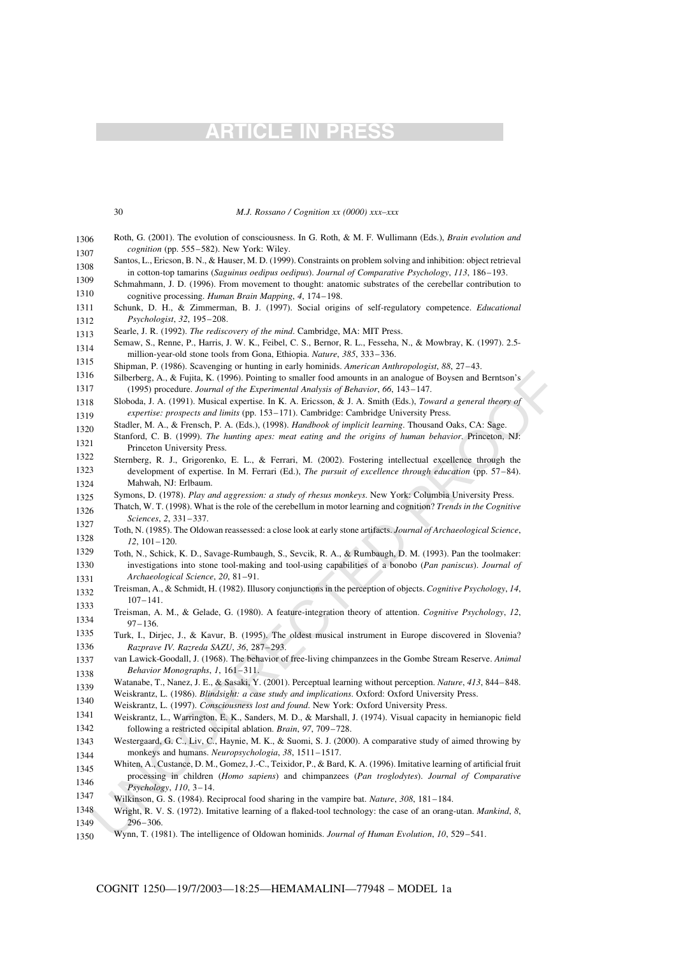### <span id="page-29-0"></span>30 M.J. Rossano / Cognition xx (0000) xxx–xxx

- Roth, G. (2001). The evolution of consciousness. In G. Roth, & M. F. Wullimann (Eds.), Brain evolution and cognition (pp. 555–582). New York: Wiley. 1306 1307
- Santos, L., Ericson, B. N., & Hauser, M. D. (1999). Constraints on problem solving and inhibition: object retrieval in cotton-top tamarins (Saguinus oedipus oedipus). Journal of Comparative Psychology, 113, 186–193. 1308
- Schmahmann, J. D. (1996). From movement to thought: anatomic substrates of the cerebellar contribution to cognitive processing. Human Brain Mapping, 4, 174–198. 1309 1310
- Schunk, D. H., & Zimmerman, B. J. (1997). Social origins of self-regulatory competence. Educational Psychologist, 32, 195–208. 1311 1312
- Searle, J. R. (1992). The rediscovery of the mind. Cambridge, MA: MIT Press. 1313
- Semaw, S., Renne, P., Harris, J. W. K., Feibel, C. S., Bernor, R. L., Fesseha, N., & Mowbray, K. (1997). 2.5 million-year-old stone tools from Gona, Ethiopia. Nature, 385, 333–336. 1314
- Shipman, P. (1986). Scavenging or hunting in early hominids. American Anthropologist, 88, 27–43. 1315
- Silberberg, A., & Fujita, K. (1996). Pointing to smaller food amounts in an analogue of Boysen and Berntson's (1995) procedure. Journal of the Experimental Analysis of Behavior, 66, 143–147. 1316 1317
- Sloboda, J. A. (1991). Musical expertise. In K. A. Ericsson, & J. A. Smith (Eds.), Toward a general theory of expertise: prospects and limits (pp. 153–171). Cambridge: Cambridge University Press. 1318 1319
- Stadler, M. A., & Frensch, P. A. (Eds.), (1998). Handbook of implicit learning. Thousand Oaks, CA: Sage. 1320
- Stanford, C. B. (1999). The hunting apes: meat eating and the origins of human behavior. Princeton, NJ: Princeton University Press. 1321
- Sternberg, R. J., Grigorenko, E. L., & Ferrari, M. (2002). Fostering intellectual excellence through the development of expertise. In M. Ferrari (Ed.), The pursuit of excellence through education (pp. 57–84). Mahwah, NJ: Erlbaum. 1322 1323 1324
- Symons, D. (1978). Play and aggression: a study of rhesus monkeys. New York: Columbia University Press. 1325
- Thatch, W. T. (1998). What is the role of the cerebellum in motor learning and cognition? Trends in the Cognitive Sciences, 2, 331–337. 1326
- Toth, N. (1985). The Oldowan reassessed: a close look at early stone artifacts. Journal of Archaeological Science, 12, 101–120. 1327 1328
- Toth, N., Schick, K. D., Savage-Rumbaugh, S., Sevcik, R. A., & Rumbaugh, D. M. (1993). Pan the toolmaker: investigations into stone tool-making and tool-using capabilities of a bonobo (Pan paniscus). Journal of Archaeological Science, 20, 81–91. 1329 1330 1331
- Treisman, A., & Schmidt, H. (1982). Illusory conjunctions in the perception of objects. Cognitive Psychology, 14, 107–141. 1332 1333
- Treisman, A. M., & Gelade, G. (1980). A feature-integration theory of attention. Cognitive Psychology, 12, 97–136. 1334
- Turk, I., Dirjec, J., & Kavur, B. (1995). The oldest musical instrument in Europe discovered in Slovenia? Razprave IV. Razreda SAZU, 36, 287–293. 1335 1336
- van Lawick-Goodall, J. (1968). The behavior of free-living chimpanzees in the Gombe Stream Reserve. Animal Behavior Monographs, 1, 161–311. 1337 1338
- Watanabe, T., Nanez, J. E., & Sasaki, Y. (2001). Perceptual learning without perception. Nature, 413, 844–848. 1339
- Weiskrantz, L. (1986). Blindsight: a case study and implications. Oxford: Oxford University Press. 1340
- Weiskrantz, L. (1997). Consciousness lost and found. New York: Oxford University Press.
- Weiskrantz, L., Warrington, E. K., Sanders, M. D., & Marshall, J. (1974). Visual capacity in hemianopic field following a restricted occipital ablation. Brain, 97, 709–728. 1341 1342
- Westergaard, G. C., Liv, C., Haynie, M. K., & Suomi, S. J. (2000). A comparative study of aimed throwing by monkeys and humans. Neuropsychologia, 38, 1511–1517. 1343 1344
- 6 Silketing, a. A. Figina, (1995). Pointing to saillar focal announce in an analogue of Boysen and Bennson's (1993). The collar *Desembed A. A.* (1993). The collar *Desembed A. A.* (1993). The collar approximation of the Whiten, A., Custance, D. M., Gomez, J.-C., Teixidor, P., & Bard, K. A. (1996). Imitative learning of artificial fruit processing in children (Homo sapiens) and chimpanzees (Pan troglodytes). Journal of Comparative Psychology, 110, 3–14. 1345 1346
- Wilkinson, G. S. (1984). Reciprocal food sharing in the vampire bat. Nature, 308, 181–184. 1347
- Wright, R. V. S. (1972). Imitative learning of a flaked-tool technology: the case of an orang-utan. Mankind, 8, 296–306. 1348 1349
- Wynn, T. (1981). The intelligence of Oldowan hominids. Journal of Human Evolution, 10, 529-541. 1350